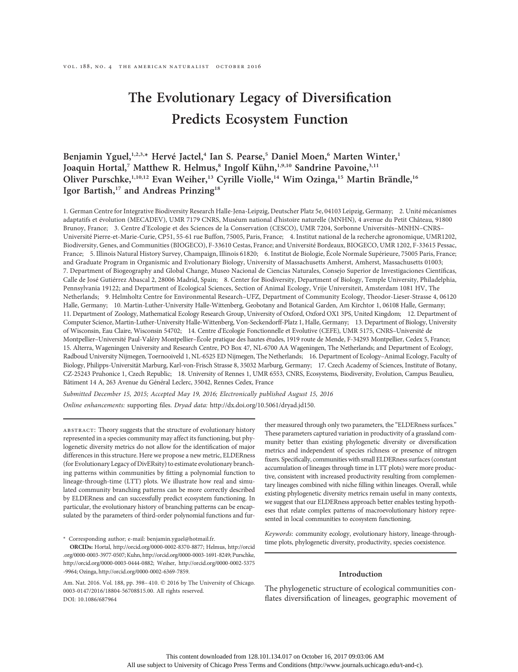# The Evolutionary Legacy of Diversification Predicts Ecosystem Function

Benjamin Yguel,<sup>1,2,3,\*</sup> Hervé Jactel,<sup>4</sup> Ian S. Pearse,<sup>5</sup> Daniel Moen,<sup>6</sup> Marten Winter,<sup>1</sup> Joaquin Hortal,<sup>7</sup> Matthew R. Helmus,<sup>8</sup> Ingolf Kühn,<sup>1,9,10</sup> Sandrine Pavoine,<sup>3,11</sup> Oliver Purschke,<sup>1,10,12</sup> Evan Weiher,<sup>13</sup> Cyrille Violle,<sup>14</sup> Wim Ozinga,<sup>15</sup> Martin Brändle,<sup>16</sup> Igor Bartish,<sup>17</sup> and Andreas Prinzing<sup>18</sup>

1. German Centre for Integrative Biodiversity Research Halle-Jena-Leipzig, Deutscher Platz 5e, 04103 Leipzig, Germany; 2. Unité mécanismes adaptatifs et évolution (MECADEV), UMR 7179 CNRS, Muséum national d'histoire naturelle (MNHN), 4 avenue du Petit Château, 91800 Brunoy, France; 3. Centre d'Ecologie et des Sciences de la Conservation (CESCO), UMR 7204, Sorbonne Universités–MNHN–CNRS– Université Pierre-et-Marie-Curie, CP51, 55-61 rue Buffon, 75005, Paris, France; 4. Institut national de la recherche agronomique, UMR1202, Biodiversity, Genes, and Communities (BIOGECO), F-33610 Cestas, France; and Université Bordeaux, BIOGECO, UMR 1202, F-33615 Pessac, France; 5. Illinois Natural History Survey, Champaign, Illinois 61820; 6. Institut de Biologie, École Normale Supérieure, 75005 Paris, France; and Graduate Program in Organismic and Evolutionary Biology, University of Massachusetts Amherst, Amherst, Massachusetts 01003; 7. Department of Biogeography and Global Change, Museo Nacional de Ciencias Naturales, Consejo Superior de Investigaciones Científicas, Calle de José Gutiérrez Abascal 2, 28006 Madrid, Spain; 8. Center for Biodiversity, Department of Biology, Temple University, Philadelphia, Pennsylvania 19122; and Department of Ecological Sciences, Section of Animal Ecology, Vrije Universiteit, Amsterdam 1081 HV, The Netherlands; 9. Helmholtz Centre for Environmental Research–UFZ, Department of Community Ecology, Theodor-Lieser-Strasse 4, 06120 Halle, Germany; 10. Martin-Luther-University Halle-Wittenberg, Geobotany and Botanical Garden, Am Kirchtor 1, 06108 Halle, Germany; 11. Department of Zoology, Mathematical Ecology Research Group, University of Oxford, Oxford OX1 3PS, United Kingdom; 12. Department of Computer Science, Martin-Luther-University Halle-Wittenberg, Von-Seckendorff-Platz 1, Halle, Germany; 13. Department of Biology, University of Wisconsin, Eau Claire, Wisconsin 54702; 14. Centre d'Ecologie Fonctionnelle et Evolutive (CEFE), UMR 5175, CNRS–Université de Montpellier–Université Paul-Valéry Montpellier–École pratique des hautes études, 1919 route de Mende, F-34293 Montpellier, Cedex 5, France; 15. Alterra, Wageningen University and Research Centre, PO Box 47, NL-6700 AA Wageningen, The Netherlands; and Department of Ecology, Radboud University Nijmegen, Toernooiveld 1, NL-6525 ED Nijmegen, The Netherlands; 16. Department of Ecology–Animal Ecology, Faculty of Biology, Philipps-Universität Marburg, Karl-von-Frisch Strasse 8, 35032 Marburg, Germany; 17. Czech Academy of Sciences, Institute of Botany, CZ-25243 Pruhonice 1, Czech Republic; 18. University of Rennes 1, UMR 6553, CNRS, Ecosystems, Biodiversity, Evolution, Campus Beaulieu, Bâtiment 14 A, 263 Avenue du Général Leclerc, 35042, Rennes Cedex, France

Submitted December 15, 2015; Accepted May 19, 2016; Electronically published August 15, 2016 Online enhancements: supporting files. Dryad data: http://dx.doi.org/10.5061/dryad.jd150.

abstract: Theory suggests that the structure of evolutionary history represented in a species community may affect its functioning, but phylogenetic diversity metrics do not allow for the identification of major differences in this structure. Here we propose a new metric, ELDERness (for Evolutionary Legacy of DivERsity) to estimate evolutionary branching patterns within communities by fitting a polynomial function to lineage-through-time (LTT) plots. We illustrate how real and simulated community branching patterns can be more correctly described by ELDERness and can successfully predict ecosystem functioning. In particular, the evolutionary history of branching patterns can be encapsulated by the parameters of third-order polynomial functions and fur-

\* Corresponding author; e-mail: benjamin.yguel@hotmail.fr.

ther measured through only two parameters, the "ELDERness surfaces." These parameters captured variation in productivity of a grassland community better than existing phylogenetic diversity or diversification metrics and independent of species richness or presence of nitrogen fixers. Specifically, communities with small ELDERness surfaces (constant accumulation of lineages through time in LTT plots) were more productive, consistent with increased productivity resulting from complementary lineages combined with niche filling within lineages. Overall, while existing phylogenetic diversity metrics remain useful in many contexts, we suggest that our ELDERness approach better enables testing hypotheses that relate complex patterns of macroevolutionary history represented in local communities to ecosystem functioning.

Keywords: community ecology, evolutionary history, lineage-throughtime plots, phylogenetic diversity, productivity, species coexistence.

#### Introduction

The phylogenetic structure of ecological communities conflates diversification of lineages, geographic movement of

ORCIDs: Hortal, http://orcid.org/0000-0002-8370-8877; Helmus, http://orcid .org/0000-0003-3977-0507; Kuhn, http://orcid.org/0000-0003-1691-8249; Purschke, http://orcid.org/0000-0003-0444-0882; Weiher, http://orcid.org/0000-0002-5375 -9964; Ozinga, http://orcid.org/0000-0002-6369-7859.

Am. Nat. 2016. Vol. 188, pp. 398-410. © 2016 by The University of Chicago. 0003-0147/2016/18804-56708\$15.00. All rights reserved. DOI: 10.1086/687964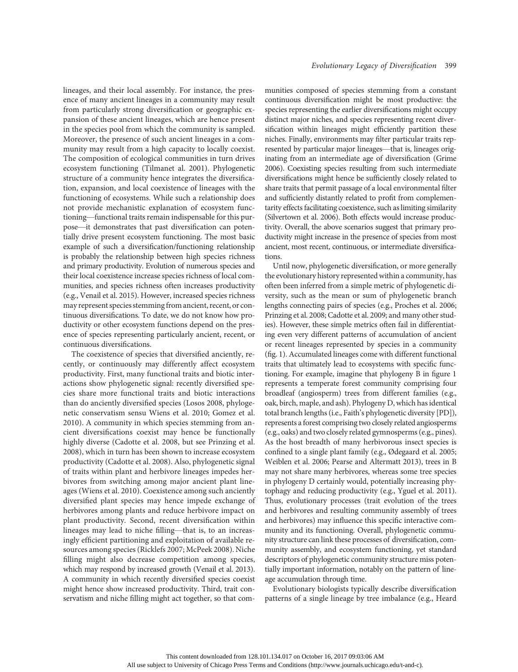lineages, and their local assembly. For instance, the presence of many ancient lineages in a community may result from particularly strong diversification or geographic expansion of these ancient lineages, which are hence present in the species pool from which the community is sampled. Moreover, the presence of such ancient lineages in a community may result from a high capacity to locally coexist. The composition of ecological communities in turn drives ecosystem functioning (Tilmanet al. 2001). Phylogenetic structure of a community hence integrates the diversification, expansion, and local coexistence of lineages with the functioning of ecosystems. While such a relationship does not provide mechanistic explanation of ecosystem functioning—functional traits remain indispensable for this purpose—it demonstrates that past diversification can potentially drive present ecosystem functioning. The most basic example of such a diversification/functioning relationship is probably the relationship between high species richness and primary productivity. Evolution of numerous species and their local coexistence increase species richness of local communities, and species richness often increases productivity (e.g., Venail et al. 2015). However, increased species richness may represent species stemming from ancient, recent, or continuous diversifications. To date, we do not know how productivity or other ecosystem functions depend on the presence of species representing particularly ancient, recent, or continuous diversifications.

The coexistence of species that diversified anciently, recently, or continuously may differently affect ecosystem productivity. First, many functional traits and biotic interactions show phylogenetic signal: recently diversified species share more functional traits and biotic interactions than do anciently diversified species (Losos 2008, phylogenetic conservatism sensu Wiens et al. 2010; Gomez et al. 2010). A community in which species stemming from ancient diversifications coexist may hence be functionally highly diverse (Cadotte et al. 2008, but see Prinzing et al. 2008), which in turn has been shown to increase ecosystem productivity (Cadotte et al. 2008). Also, phylogenetic signal of traits within plant and herbivore lineages impedes herbivores from switching among major ancient plant lineages (Wiens et al. 2010). Coexistence among such anciently diversified plant species may hence impede exchange of herbivores among plants and reduce herbivore impact on plant productivity. Second, recent diversification within lineages may lead to niche filling—that is, to an increasingly efficient partitioning and exploitation of available resources among species (Ricklefs 2007; McPeek 2008). Niche filling might also decrease competition among species, which may respond by increased growth (Venail et al. 2013). A community in which recently diversified species coexist might hence show increased productivity. Third, trait conservatism and niche filling might act together, so that communities composed of species stemming from a constant continuous diversification might be most productive: the species representing the earlier diversifications might occupy distinct major niches, and species representing recent diversification within lineages might efficiently partition these niches. Finally, environments may filter particular traits represented by particular major lineages—that is, lineages originating from an intermediate age of diversification (Grime 2006). Coexisting species resulting from such intermediate diversifications might hence be sufficiently closely related to share traits that permit passage of a local environmental filter and sufficiently distantly related to profit from complementarity effects facilitating coexistence, such as limiting similarity (Silvertown et al. 2006). Both effects would increase productivity. Overall, the above scenarios suggest that primary productivity might increase in the presence of species from most ancient, most recent, continuous, or intermediate diversifications.

Until now, phylogenetic diversification, or more generally the evolutionary history represented within a community, has often been inferred from a simple metric of phylogenetic diversity, such as the mean or sum of phylogenetic branch lengths connecting pairs of species (e.g., Proches et al. 2006; Prinzing et al. 2008; Cadotte et al. 2009; and many other studies). However, these simple metrics often fail in differentiating even very different patterns of accumulation of ancient or recent lineages represented by species in a community (fig. 1). Accumulated lineages come with different functional traits that ultimately lead to ecosystems with specific functioning. For example, imagine that phylogeny B in figure 1 represents a temperate forest community comprising four broadleaf (angiosperm) trees from different families (e.g., oak, birch, maple, and ash). Phylogeny D, which has identical total branch lengths (i.e., Faith's phylogenetic diversity [PD]), represents a forest comprising two closely related angiosperms (e.g., oaks) and two closely related gymnosperms (e.g., pines). As the host breadth of many herbivorous insect species is confined to a single plant family (e.g., Ødegaard et al. 2005; Weiblen et al. 2006; Pearse and Altermatt 2013), trees in B may not share many herbivores, whereas some tree species in phylogeny D certainly would, potentially increasing phytophagy and reducing productivity (e.g., Yguel et al. 2011). Thus, evolutionary processes (trait evolution of the trees and herbivores and resulting community assembly of trees and herbivores) may influence this specific interactive community and its functioning. Overall, phylogenetic community structure can link these processes of diversification, community assembly, and ecosystem functioning, yet standard descriptors of phylogenetic community structure miss potentially important information, notably on the pattern of lineage accumulation through time.

Evolutionary biologists typically describe diversification patterns of a single lineage by tree imbalance (e.g., Heard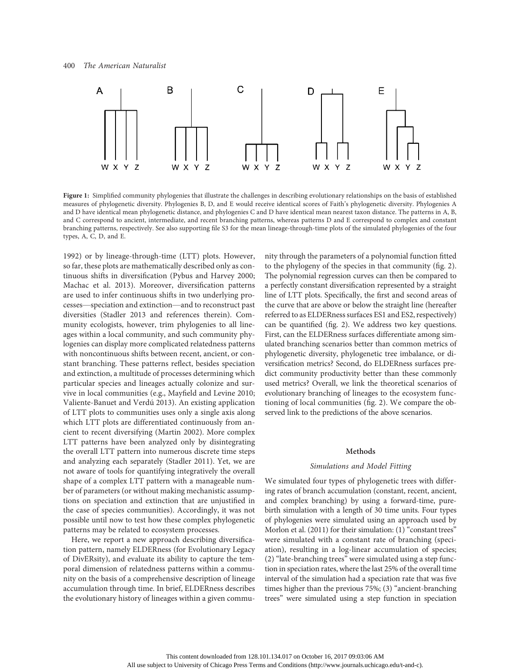

Figure 1: Simplified community phylogenies that illustrate the challenges in describing evolutionary relationships on the basis of established measures of phylogenetic diversity. Phylogenies B, D, and E would receive identical scores of Faith's phylogenetic diversity. Phylogenies A and D have identical mean phylogenetic distance, and phylogenies C and D have identical mean nearest taxon distance. The patterns in A, B, and C correspond to ancient, intermediate, and recent branching patterns, whereas patterns D and E correspond to complex and constant branching patterns, respectively. See also supporting file S3 for the mean lineage-through-time plots of the simulated phylogenies of the four types, A, C, D, and E.

1992) or by lineage-through-time (LTT) plots. However, so far, these plots are mathematically described only as continuous shifts in diversification (Pybus and Harvey 2000; Machac et al. 2013). Moreover, diversification patterns are used to infer continuous shifts in two underlying processes—speciation and extinction—and to reconstruct past diversities (Stadler 2013 and references therein). Community ecologists, however, trim phylogenies to all lineages within a local community, and such community phylogenies can display more complicated relatedness patterns with noncontinuous shifts between recent, ancient, or constant branching. These patterns reflect, besides speciation and extinction, a multitude of processes determining which particular species and lineages actually colonize and survive in local communities (e.g., Mayfield and Levine 2010; Valiente-Banuet and Verdú 2013). An existing application of LTT plots to communities uses only a single axis along which LTT plots are differentiated continuously from ancient to recent diversifying (Martin 2002). More complex LTT patterns have been analyzed only by disintegrating the overall LTT pattern into numerous discrete time steps and analyzing each separately (Stadler 2011). Yet, we are not aware of tools for quantifying integratively the overall shape of a complex LTT pattern with a manageable number of parameters (or without making mechanistic assumptions on speciation and extinction that are unjustified in the case of species communities). Accordingly, it was not possible until now to test how these complex phylogenetic patterns may be related to ecosystem processes.

Here, we report a new approach describing diversification pattern, namely ELDERness (for Evolutionary Legacy of DivERsity), and evaluate its ability to capture the temporal dimension of relatedness patterns within a community on the basis of a comprehensive description of lineage accumulation through time. In brief, ELDERness describes the evolutionary history of lineages within a given community through the parameters of a polynomial function fitted to the phylogeny of the species in that community (fig. 2). The polynomial regression curves can then be compared to a perfectly constant diversification represented by a straight line of LTT plots. Specifically, the first and second areas of the curve that are above or below the straight line (hereafter referred to as ELDERness surfaces ES1 and ES2, respectively) can be quantified (fig. 2). We address two key questions. First, can the ELDERness surfaces differentiate among simulated branching scenarios better than common metrics of phylogenetic diversity, phylogenetic tree imbalance, or diversification metrics? Second, do ELDERness surfaces predict community productivity better than these commonly used metrics? Overall, we link the theoretical scenarios of evolutionary branching of lineages to the ecosystem functioning of local communities (fig. 2). We compare the observed link to the predictions of the above scenarios.

#### Methods

#### Simulations and Model Fitting

We simulated four types of phylogenetic trees with differing rates of branch accumulation (constant, recent, ancient, and complex branching) by using a forward-time, purebirth simulation with a length of 30 time units. Four types of phylogenies were simulated using an approach used by Morlon et al. (2011) for their simulation: (1) "constant trees" were simulated with a constant rate of branching (speciation), resulting in a log-linear accumulation of species; (2) "late-branching trees" were simulated using a step function in speciation rates, where the last 25% of the overall time interval of the simulation had a speciation rate that was five times higher than the previous 75%; (3) "ancient-branching trees" were simulated using a step function in speciation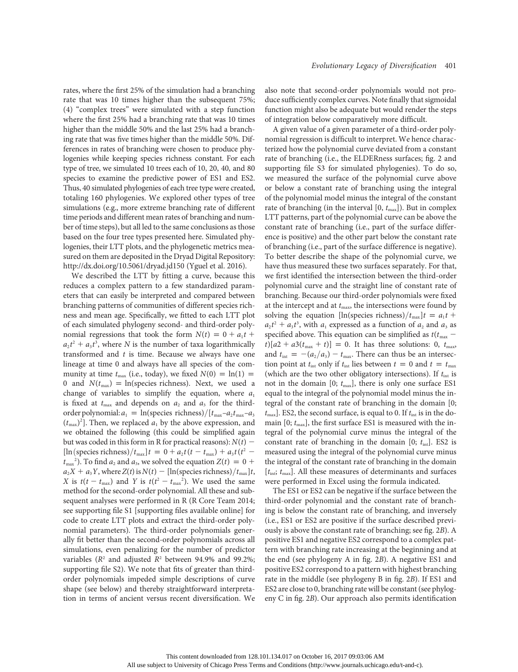rates, where the first 25% of the simulation had a branching rate that was 10 times higher than the subsequent 75%; (4) "complex trees" were simulated with a step function where the first 25% had a branching rate that was 10 times higher than the middle 50% and the last 25% had a branching rate that was five times higher than the middle 50%. Differences in rates of branching were chosen to produce phylogenies while keeping species richness constant. For each type of tree, we simulated 10 trees each of 10, 20, 40, and 80 species to examine the predictive power of ES1 and ES2. Thus, 40 simulated phylogenies of each tree type were created, totaling 160 phylogenies. We explored other types of tree simulations (e.g., more extreme branching rate of different time periods and different mean rates of branching and number of time steps), but all led to the same conclusions as those based on the four tree types presented here. Simulated phylogenies, their LTT plots, and the phylogenetic metrics measured on them are deposited in the Dryad Digital Repository: http://dx.doi.org/10.5061/dryad.jd150 (Yguel et al. 2016).

We described the LTT by fitting a curve, because this reduces a complex pattern to a few standardized parameters that can easily be interpreted and compared between branching patterns of communities of different species richness and mean age. Specifically, we fitted to each LTT plot of each simulated phylogeny second- and third-order polynomial regressions that took the form  $N(t) = 0 + a_1 t +$  $a_2t^2 + a_3t^3$ , where N is the number of taxa logarithmically transformed and  $t$  is time. Because we always have one lineage at time 0 and always have all species of the community at time  $t_{\text{max}}$  (i.e., today), we fixed  $N(0) = \ln(1)$  = 0 and  $N(t_{\text{max}}) = \ln(\text{species richness})$ . Next, we used a change of variables to simplify the equation, where  $a_1$ is fixed at  $t_{\text{max}}$  and depends on  $a_2$  and  $a_3$  for the thirdorder polynomial:  $a_1 = \ln(\text{species richness})/[t_{\text{max}}-a_2t_{\text{max}}-a_3$  $(t_{\text{max}})^2$ ]. Then, we replaced  $a_1$  by the above expression, and we obtained the following (this could be simplified again but was coded in this form in R for practical reasons):  $N(t)$  – [ln (species richness)/ $t_{\text{max}}$ ]  $t = 0 + a_2t(t - t_{\text{max}}) + a_3t(t^2 - t_{\text{max}})$  $t_{\text{max}}^2$ ). To find  $a_2$  and  $a_3$ , we solved the equation  $Z(t) = 0 +$  $a_2X + a_3Y$ , where  $Z(t)$  is  $N(t) - [\ln(\text{species richness})/t_{\text{max}}]t$ , X is  $t(t - t_{\text{max}})$  and Y is  $t(t^2 - t_{\text{max}}^2)$ . We used the same method for the second-order polynomial. All these and subsequent analyses were performed in R (R Core Team 2014; see supporting file S1 [supporting files available online] for code to create LTT plots and extract the third-order polynomial parameters). The third-order polynomials generally fit better than the second-order polynomials across all simulations, even penalizing for the number of predictor variables ( $R^2$  and adjusted  $R^2$  between 94.9% and 99.2%; supporting file S2). We note that fits of greater than thirdorder polynomials impeded simple descriptions of curve shape (see below) and thereby straightforward interpretation in terms of ancient versus recent diversification. We also note that second-order polynomials would not produce sufficiently complex curves. Note finally that sigmoidal function might also be adequate but would render the steps of integration below comparatively more difficult.

A given value of a given parameter of a third-order polynomial regression is difficult to interpret. We hence characterized how the polynomial curve deviated from a constant rate of branching (i.e., the ELDERness surfaces; fig. 2 and supporting file S3 for simulated phylogenies). To do so, we measured the surface of the polynomial curve above or below a constant rate of branching using the integral of the polynomial model minus the integral of the constant rate of branching (in the interval  $[0, t_{\text{max}}]$ ). But in complex LTT patterns, part of the polynomial curve can be above the constant rate of branching (i.e., part of the surface difference is positive) and the other part below the constant rate of branching (i.e., part of the surface difference is negative). To better describe the shape of the polynomial curve, we have thus measured these two surfaces separately. For that, we first identified the intersection between the third-order polynomial curve and the straight line of constant rate of branching. Because our third-order polynomials were fixed at the intercept and at  $t_{\text{max}}$ , the intersections were found by solving the equation [ln(species richness)/ $t_{\text{max}}$ ] $t = a_1 t$  +  $a_2t^2 + a_3t^3$ , with  $a_1$  expressed as a function of  $a_2$  and  $a_3$  as specified above. This equation can be simplified as  $t(t_{\text{max}}$  –  $t)[a2 + a3(t_{\text{max}} + t)] = 0$ . It has three solutions: 0,  $t_{\text{max}}$ , and  $t_{\text{int}} = -(a_2/a_3) - t_{\text{max}}$ . There can thus be an intersection point at  $t_{\text{int}}$  only if  $t_{\text{int}}$  lies between  $t = 0$  and  $t = t_{\text{max}}$ (which are the two other obligatory intersections). If  $t_{\text{int}}$  is not in the domain [0;  $t_{\text{max}}$ ], there is only one surface ES1 equal to the integral of the polynomial model minus the integral of the constant rate of branching in the domain [0;  $t_{\text{max}}$ ]. ES2, the second surface, is equal to 0. If  $t_{\text{int}}$  is in the domain [0;  $t_{\text{max}}$ ], the first surface ES1 is measured with the integral of the polynomial curve minus the integral of the constant rate of branching in the domain [0;  $t_{int}$ ]. ES2 is measured using the integral of the polynomial curve minus the integral of the constant rate of branching in the domain  $[t_{\text{ini}}; t_{\text{max}}]$ . All these measures of determinants and surfaces were performed in Excel using the formula indicated.

The ES1 or ES2 can be negative if the surface between the third-order polynomial and the constant rate of branching is below the constant rate of branching, and inversely (i.e., ES1 or ES2 are positive if the surface described previously is above the constant rate of branching; see fig. 2B). A positive ES1 and negative ES2 correspond to a complex pattern with branching rate increasing at the beginning and at the end (see phylogeny A in fig. 2B). A negative ES1 and positive ES2 correspond to a pattern with highest branching rate in the middle (see phylogeny B in fig. 2B). If ES1 and ES2 are close to 0, branching rate will be constant (see phylogeny C in fig. 2B). Our approach also permits identification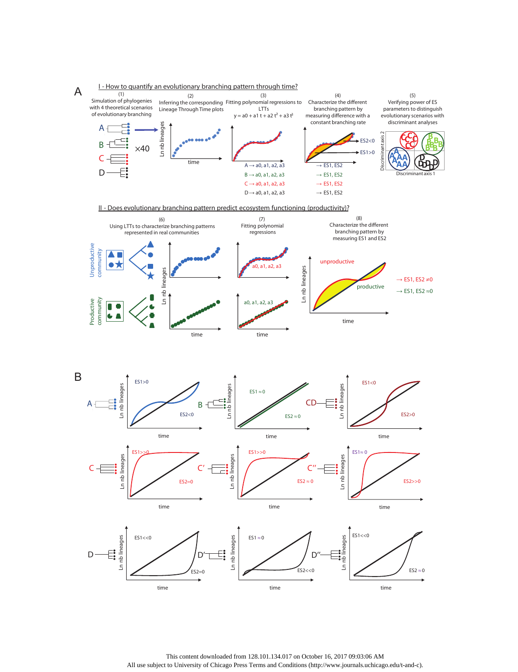![](_page_4_Figure_0.jpeg)

This content downloaded from 128.101.134.017 on October 16, 2017 09:03:06 AM All use subject to University of Chicago Press Terms and Conditions (http://www.journals.uchicago.edu/t-and-c).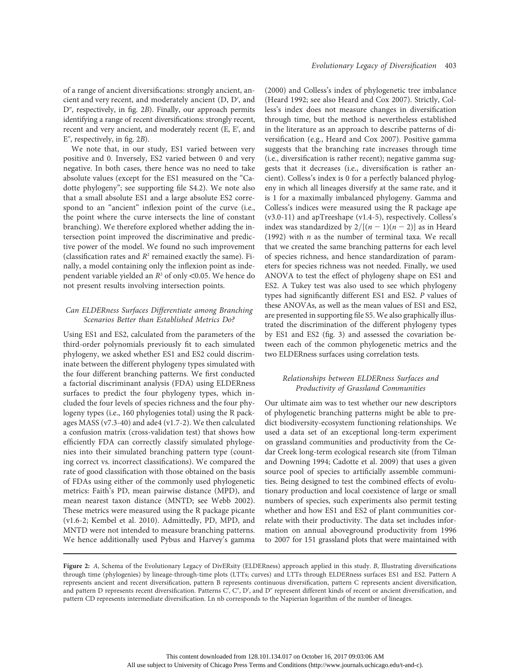of a range of ancient diversifications: strongly ancient, ancient and very recent, and moderately ancient (D, D', and  $D''$ , respectively, in fig. 2B). Finally, our approach permits identifying a range of recent diversifications: strongly recent, recent and very ancient, and moderately recent (E, E', and  $E''$ , respectively, in fig. 2B).

We note that, in our study, ES1 varied between very positive and 0. Inversely, ES2 varied between 0 and very negative. In both cases, there hence was no need to take absolute values (except for the ES1 measured on the "Cadotte phylogeny"; see supporting file S4.2). We note also that a small absolute ES1 and a large absolute ES2 correspond to an "ancient" inflexion point of the curve (i.e., the point where the curve intersects the line of constant branching). We therefore explored whether adding the intersection point improved the discriminative and predictive power of the model. We found no such improvement (classification rates and  $R^2$  remained exactly the same). Finally, a model containing only the inflexion point as independent variable yielded an  $R^2$  of only <0.05. We hence do not present results involving intersection points.

#### Can ELDERness Surfaces Differentiate among Branching Scenarios Better than Established Metrics Do?

Using ES1 and ES2, calculated from the parameters of the third-order polynomials previously fit to each simulated phylogeny, we asked whether ES1 and ES2 could discriminate between the different phylogeny types simulated with the four different branching patterns. We first conducted a factorial discriminant analysis (FDA) using ELDERness surfaces to predict the four phylogeny types, which included the four levels of species richness and the four phylogeny types (i.e., 160 phylogenies total) using the R packages MASS (v7.3-40) and ade4 (v1.7-2). We then calculated a confusion matrix (cross-validation test) that shows how efficiently FDA can correctly classify simulated phylogenies into their simulated branching pattern type (counting correct vs. incorrect classifications). We compared the rate of good classification with those obtained on the basis of FDAs using either of the commonly used phylogenetic metrics: Faith's PD, mean pairwise distance (MPD), and mean nearest taxon distance (MNTD; see Webb 2002). These metrics were measured using the R package picante (v1.6-2; Kembel et al. 2010). Admittedly, PD, MPD, and MNTD were not intended to measure branching patterns. We hence additionally used Pybus and Harvey's gamma (2000) and Colless's index of phylogenetic tree imbalance (Heard 1992; see also Heard and Cox 2007). Strictly, Colless's index does not measure changes in diversification through time, but the method is nevertheless established in the literature as an approach to describe patterns of diversification (e.g., Heard and Cox 2007). Positive gamma suggests that the branching rate increases through time (i.e., diversification is rather recent); negative gamma suggests that it decreases (i.e., diversification is rather ancient). Colless's index is 0 for a perfectly balanced phylogeny in which all lineages diversify at the same rate, and it is 1 for a maximally imbalanced phylogeny. Gamma and Colless's indices were measured using the R package ape (v3.0-11) and apTreeshape (v1.4-5), respectively. Colless's index was standardized by  $2/[(n - 1)(n - 2)]$  as in Heard (1992) with  $n$  as the number of terminal taxa. We recall that we created the same branching patterns for each level of species richness, and hence standardization of parameters for species richness was not needed. Finally, we used ANOVA to test the effect of phylogeny shape on ES1 and ES2. A Tukey test was also used to see which phylogeny types had significantly different ES1 and ES2. P values of these ANOVAs, as well as the mean values of ES1 and ES2, are presented in supporting file S5. We also graphically illustrated the discrimination of the different phylogeny types by ES1 and ES2 (fig. 3) and assessed the covariation between each of the common phylogenetic metrics and the two ELDERness surfaces using correlation tests.

#### Relationships between ELDERness Surfaces and Productivity of Grassland Communities

Our ultimate aim was to test whether our new descriptors of phylogenetic branching patterns might be able to predict biodiversity-ecosystem functioning relationships. We used a data set of an exceptional long-term experiment on grassland communities and productivity from the Cedar Creek long-term ecological research site (from Tilman and Downing 1994; Cadotte et al. 2009) that uses a given source pool of species to artificially assemble communities. Being designed to test the combined effects of evolutionary production and local coexistence of large or small numbers of species, such experiments also permit testing whether and how ES1 and ES2 of plant communities correlate with their productivity. The data set includes information on annual aboveground productivity from 1996 to 2007 for 151 grassland plots that were maintained with

Figure 2: A, Schema of the Evolutionary Legacy of DivERsity (ELDERness) approach applied in this study. B, Illustrating diversifications through time (phylogenies) by lineage-through-time plots (LTTs; curves) and LTTs through ELDERness surfaces ES1 and ES2. Pattern A represents ancient and recent diversification, pattern B represents continuous diversification, pattern C represents ancient diversification, and pattern D represents recent diversification. Patterns  $C$ ,  $C'$ ,  $D'$ , and  $D''$  represent different kinds of recent or ancient diversification, and pattern CD represents intermediate diversification. Ln nb corresponds to the Napierian logarithm of the number of lineages.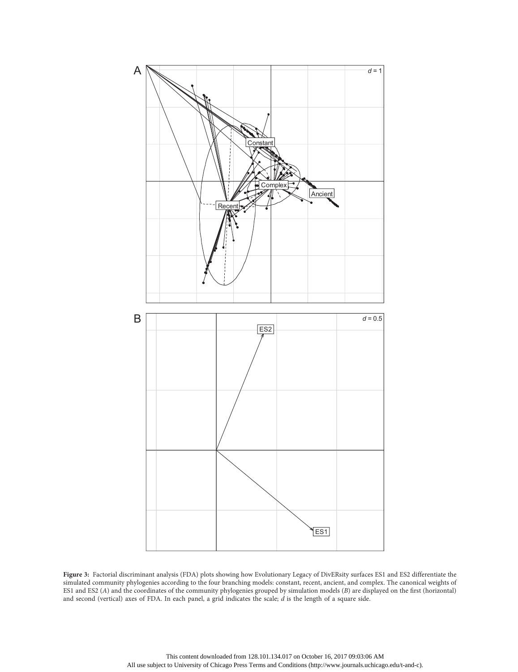![](_page_6_Figure_0.jpeg)

Figure 3: Factorial discriminant analysis (FDA) plots showing how Evolutionary Legacy of DivERsity surfaces ES1 and ES2 differentiate the simulated community phylogenies according to the four branching models: constant, recent, ancient, and complex. The canonical weights of ES1 and ES2 (A) and the coordinates of the community phylogenies grouped by simulation models (B) are displayed on the first (horizontal) and second (vertical) axes of FDA. In each panel, a grid indicates the scale; d is the length of a square side.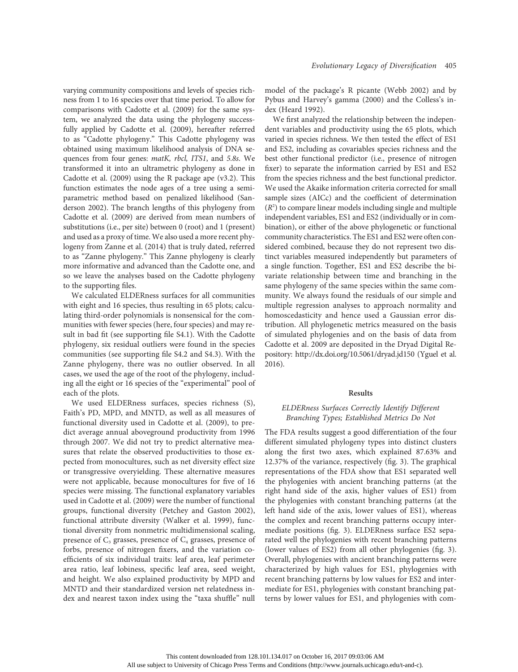varying community compositions and levels of species richness from 1 to 16 species over that time period. To allow for comparisons with Cadotte et al. (2009) for the same system, we analyzed the data using the phylogeny successfully applied by Cadotte et al. (2009), hereafter referred to as "Cadotte phylogeny." This Cadotte phylogeny was obtained using maximum likelihood analysis of DNA sequences from four genes: matK, rbcl, ITS1, and 5.8s. We transformed it into an ultrametric phylogeny as done in Cadotte et al. (2009) using the R package ape (v3.2). This function estimates the node ages of a tree using a semiparametric method based on penalized likelihood (Sanderson 2002). The branch lengths of this phylogeny from Cadotte et al. (2009) are derived from mean numbers of substitutions (i.e., per site) between 0 (root) and 1 (present) and used as a proxy of time. We also used a more recent phylogeny from Zanne et al. (2014) that is truly dated, referred to as "Zanne phylogeny." This Zanne phylogeny is clearly more informative and advanced than the Cadotte one, and so we leave the analyses based on the Cadotte phylogeny to the supporting files.

We calculated ELDERness surfaces for all communities with eight and 16 species, thus resulting in 65 plots; calculating third-order polynomials is nonsensical for the communities with fewer species (here, four species) and may result in bad fit (see supporting file S4.1). With the Cadotte phylogeny, six residual outliers were found in the species communities (see supporting file S4.2 and S4.3). With the Zanne phylogeny, there was no outlier observed. In all cases, we used the age of the root of the phylogeny, including all the eight or 16 species of the "experimental" pool of each of the plots.

We used ELDERness surfaces, species richness (S), Faith's PD, MPD, and MNTD, as well as all measures of functional diversity used in Cadotte et al. (2009), to predict average annual aboveground productivity from 1996 through 2007. We did not try to predict alternative measures that relate the observed productivities to those expected from monocultures, such as net diversity effect size or transgressive overyielding. These alternative measures were not applicable, because monocultures for five of 16 species were missing. The functional explanatory variables used in Cadotte et al. (2009) were the number of functional groups, functional diversity (Petchey and Gaston 2002), functional attribute diversity (Walker et al. 1999), functional diversity from nonmetric multidimensional scaling, presence of  $C_3$  grasses, presence of  $C_4$  grasses, presence of forbs, presence of nitrogen fixers, and the variation coefficients of six individual traits: leaf area, leaf perimeter area ratio, leaf lobiness, specific leaf area, seed weight, and height. We also explained productivity by MPD and MNTD and their standardized version net relatedness index and nearest taxon index using the "taxa shuffle" null model of the package's R picante (Webb 2002) and by Pybus and Harvey's gamma (2000) and the Colless's index (Heard 1992).

We first analyzed the relationship between the independent variables and productivity using the 65 plots, which varied in species richness. We then tested the effect of ES1 and ES2, including as covariables species richness and the best other functional predictor (i.e., presence of nitrogen fixer) to separate the information carried by ES1 and ES2 from the species richness and the best functional predictor. We used the Akaike information criteria corrected for small sample sizes (AICc) and the coefficient of determination  $(R<sup>2</sup>)$  to compare linear models including single and multiple independent variables, ES1 and ES2 (individually or in combination), or either of the above phylogenetic or functional community characteristics. The ES1 and ES2 were often considered combined, because they do not represent two distinct variables measured independently but parameters of a single function. Together, ES1 and ES2 describe the bivariate relationship between time and branching in the same phylogeny of the same species within the same community. We always found the residuals of our simple and multiple regression analyses to approach normality and homoscedasticity and hence used a Gaussian error distribution. All phylogenetic metrics measured on the basis of simulated phylogenies and on the basis of data from Cadotte et al. 2009 are deposited in the Dryad Digital Repository: http://dx.doi.org/10.5061/dryad.jd150 (Yguel et al. 2016).

#### Results

#### ELDERness Surfaces Correctly Identify Different Branching Types; Established Metrics Do Not

The FDA results suggest a good differentiation of the four different simulated phylogeny types into distinct clusters along the first two axes, which explained 87.63% and 12.37% of the variance, respectively (fig. 3). The graphical representations of the FDA show that ES1 separated well the phylogenies with ancient branching patterns (at the right hand side of the axis, higher values of ES1) from the phylogenies with constant branching patterns (at the left hand side of the axis, lower values of ES1), whereas the complex and recent branching patterns occupy intermediate positions (fig. 3). ELDERness surface ES2 separated well the phylogenies with recent branching patterns (lower values of ES2) from all other phylogenies (fig. 3). Overall, phylogenies with ancient branching patterns were characterized by high values for ES1, phylogenies with recent branching patterns by low values for ES2 and intermediate for ES1, phylogenies with constant branching patterns by lower values for ES1, and phylogenies with com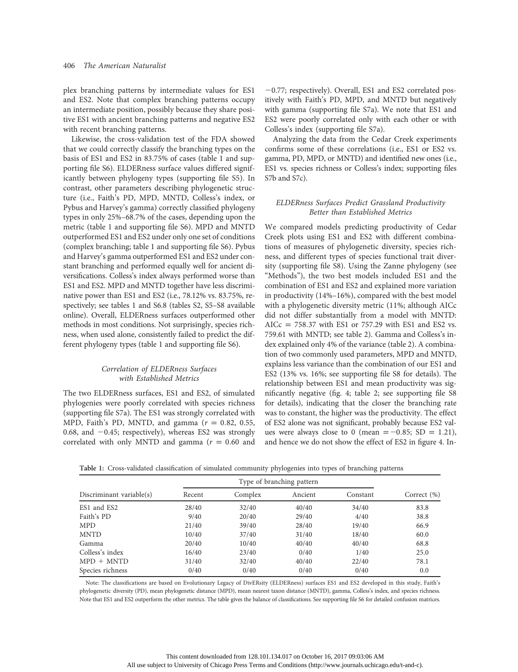plex branching patterns by intermediate values for ES1 and ES2. Note that complex branching patterns occupy an intermediate position, possibly because they share positive ES1 with ancient branching patterns and negative ES2 with recent branching patterns.

Likewise, the cross-validation test of the FDA showed that we could correctly classify the branching types on the basis of ES1 and ES2 in 83.75% of cases (table 1 and supporting file S6). ELDERness surface values differed significantly between phylogeny types (supporting file S5). In contrast, other parameters describing phylogenetic structure (i.e., Faith's PD, MPD, MNTD, Colless's index, or Pybus and Harvey's gamma) correctly classified phylogeny types in only 25%–68.7% of the cases, depending upon the metric (table 1 and supporting file S6). MPD and MNTD outperformed ES1 and ES2 under only one set of conditions (complex branching; table 1 and supporting file S6). Pybus and Harvey's gamma outperformed ES1 and ES2 under constant branching and performed equally well for ancient diversifications. Colless's index always performed worse than ES1 and ES2. MPD and MNTD together have less discriminative power than ES1 and ES2 (i.e., 78.12% vs. 83.75%, respectively; see tables 1 and S6.8 (tables S2, S5–S8 available online). Overall, ELDERness surfaces outperformed other methods in most conditions. Not surprisingly, species richness, when used alone, consistently failed to predict the different phylogeny types (table 1 and supporting file S6).

#### Correlation of ELDERness Surfaces with Established Metrics

The two ELDERness surfaces, ES1 and ES2, of simulated phylogenies were poorly correlated with species richness (supporting file S7a). The ES1 was strongly correlated with MPD, Faith's PD, MNTD, and gamma ( $r = 0.82$ , 0.55, 0.68, and  $-0.45$ ; respectively), whereas ES2 was strongly correlated with only MNTD and gamma ( $r = 0.60$  and

-0.77; respectively). Overall, ES1 and ES2 correlated positively with Faith's PD, MPD, and MNTD but negatively with gamma (supporting file S7a). We note that ES1 and ES2 were poorly correlated only with each other or with Colless's index (supporting file S7a).

Analyzing the data from the Cedar Creek experiments confirms some of these correlations (i.e., ES1 or ES2 vs. gamma, PD, MPD, or MNTD) and identified new ones (i.e., ES1 vs. species richness or Colless's index; supporting files S7b and S7c).

#### ELDERness Surfaces Predict Grassland Productivity Better than Established Metrics

We compared models predicting productivity of Cedar Creek plots using ES1 and ES2 with different combinations of measures of phylogenetic diversity, species richness, and different types of species functional trait diversity (supporting file S8). Using the Zanne phylogeny (see "Methods"), the two best models included ES1 and the combination of ES1 and ES2 and explained more variation in productivity (14%–16%), compared with the best model with a phylogenetic diversity metric (11%; although AICc did not differ substantially from a model with MNTD:  $AICc = 758.37$  with ES1 or 757.29 with ES1 and ES2 vs. 759.61 with MNTD; see table 2). Gamma and Colless's index explained only 4% of the variance (table 2). A combination of two commonly used parameters, MPD and MNTD, explains less variance than the combination of our ES1 and ES2 (13% vs. 16%; see supporting file S8 for details). The relationship between ES1 and mean productivity was significantly negative (fig. 4; table 2; see supporting file S8 for details), indicating that the closer the branching rate was to constant, the higher was the productivity. The effect of ES2 alone was not significant, probably because ES2 values were always close to 0 (mean  $=-0.85$ ; SD = 1.21), and hence we do not show the effect of ES2 in figure 4. In-

Table 1: Cross-validated classification of simulated community phylogenies into types of branching patterns

|                          |        | Type of branching pattern |         |          |                 |  |  |
|--------------------------|--------|---------------------------|---------|----------|-----------------|--|--|
| Discriminant variable(s) | Recent | Complex                   | Ancient | Constant | Correct $(\% )$ |  |  |
| ES1 and ES2              | 28/40  | 32/40                     | 40/40   | 34/40    | 83.8            |  |  |
| Faith's PD               | 9/40   | 20/40                     | 29/40   | 4/40     | 38.8            |  |  |
| <b>MPD</b>               | 21/40  | 39/40                     | 28/40   | 19/40    | 66.9            |  |  |
| <b>MNTD</b>              | 10/40  | 37/40                     | 31/40   | 18/40    | 60.0            |  |  |
| Gamma                    | 20/40  | 10/40                     | 40/40   | 40/40    | 68.8            |  |  |
| Colless's index          | 16/40  | 23/40                     | 0/40    | 1/40     | 25.0            |  |  |
| $MPD + MNTD$             | 31/40  | 32/40                     | 40/40   | 22/40    | 78.1            |  |  |
| Species richness         | 0/40   | 0/40                      | 0/40    | 0/40     | 0.0             |  |  |

Note: The classifications are based on Evolutionary Legacy of DivERsity (ELDERness) surfaces ES1 and ES2 developed in this study, Faith's phylogenetic diversity (PD), mean phylogenetic distance (MPD), mean nearest taxon distance (MNTD), gamma, Colless's index, and species richness. Note that ES1 and ES2 outperform the other metrics. The table gives the balance of classifications. See supporting file S6 for detailed confusion matrices.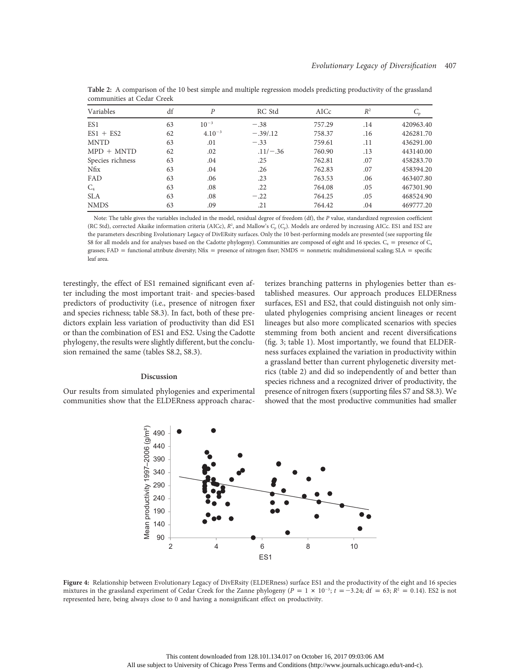| Variables        | df | P           | RC Std      | AICc   | $R^2$ | $\cup_{p}$ |
|------------------|----|-------------|-------------|--------|-------|------------|
| ES1              | 63 | $10^{-3}$   | $-.38$      | 757.29 | .14   | 420963.40  |
| $ES1 + ES2$      | 62 | $4.10^{-3}$ | $-.39/0.12$ | 758.37 | .16   | 426281.70  |
| <b>MNTD</b>      | 63 | .01         | $-.33$      | 759.61 | .11   | 436291.00  |
| $MPD + MNTD$     | 62 | .02         | $.11/-.36$  | 760.90 | .13   | 443140.00  |
| Species richness | 63 | .04         | .25         | 762.81 | .07   | 458283.70  |
| <b>Nfix</b>      | 63 | .04         | .26         | 762.83 | .07   | 458394.20  |
| FAD              | 63 | .06         | .23         | 763.53 | .06   | 463407.80  |
| $C_4$            | 63 | .08         | .22         | 764.08 | .05   | 467301.90  |
| <b>SLA</b>       | 63 | .08         | $-.22$      | 764.25 | .05   | 468524.90  |
| <b>NMDS</b>      | 63 | .09         | .21         | 764.42 | .04   | 469777.20  |

Table 2: A comparison of the 10 best simple and multiple regression models predicting productivity of the grassland communities at Cedar Creek

Note: The table gives the variables included in the model, residual degree of freedom (df), the P value, standardized regression coefficient (RC Std), corrected Akaike information criteria (AICc),  $R^2$ , and Mallow's  $C_p$  ( $C_p$ ). Models are ordered by increasing AICc. ES1 and ES2 are the parameters describing Evolutionary Legacy of DivERsity surfaces. Only the 10 best-performing models are presented (see supporting file S8 for all models and for analyses based on the Cadotte phylogeny). Communities are composed of eight and 16 species.  $C_4$  = presence of  $C_4$ grasses; FAD = functional attribute diversity; Nfix = presence of nitrogen fixer; NMDS = nonmetric multidimensional scaling; SLA = specific leaf area.

terestingly, the effect of ES1 remained significant even after including the most important trait- and species-based predictors of productivity (i.e., presence of nitrogen fixer and species richness; table S8.3). In fact, both of these predictors explain less variation of productivity than did ES1 or than the combination of ES1 and ES2. Using the Cadotte phylogeny, the results were slightly different, but the conclusion remained the same (tables S8.2, S8.3).

#### Discussion

Our results from simulated phylogenies and experimental communities show that the ELDERness approach charac-

terizes branching patterns in phylogenies better than established measures. Our approach produces ELDERness surfaces, ES1 and ES2, that could distinguish not only simulated phylogenies comprising ancient lineages or recent lineages but also more complicated scenarios with species stemming from both ancient and recent diversifications (fig. 3; table 1). Most importantly, we found that ELDERness surfaces explained the variation in productivity within a grassland better than current phylogenetic diversity metrics (table 2) and did so independently of and better than species richness and a recognized driver of productivity, the presence of nitrogen fixers (supporting files S7 and S8.3). We showed that the most productive communities had smaller

![](_page_9_Figure_8.jpeg)

Figure 4: Relationship between Evolutionary Legacy of DivERsity (ELDERness) surface ES1 and the productivity of the eight and 16 species mixtures in the grassland experiment of Cedar Creek for the Zanne phylogeny ( $P = 1 \times 10^{-3}$ ;  $t = -3.24$ ; df = 63;  $R^2 = 0.14$ ). ES2 is not represented here, being always close to 0 and having a nonsignificant effect on productivity.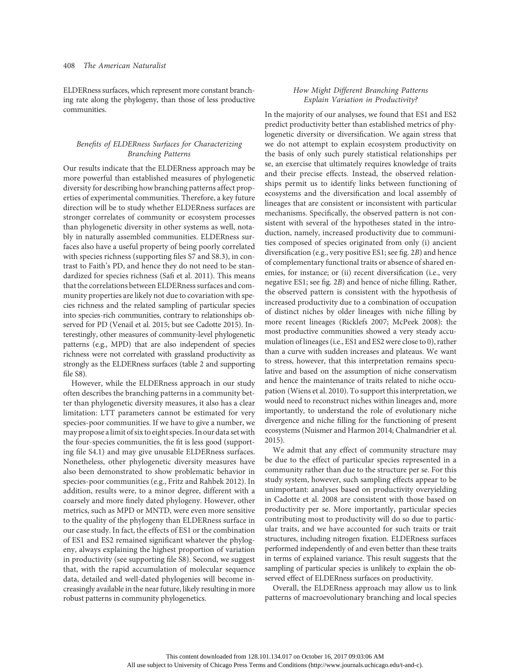ELDERness surfaces, which represent more constant branching rate along the phylogeny, than those of less productive communities.

#### Benefits of ELDERness Surfaces for Characterizing Branching Patterns

Our results indicate that the ELDERness approach may be more powerful than established measures of phylogenetic diversity for describing how branching patterns affect properties of experimental communities. Therefore, a key future direction will be to study whether ELDERness surfaces are stronger correlates of community or ecosystem processes than phylogenetic diversity in other systems as well, notably in naturally assembled communities. ELDERness surfaces also have a useful property of being poorly correlated with species richness (supporting files S7 and S8.3), in contrast to Faith's PD, and hence they do not need to be standardized for species richness (Safi et al. 2011). This means that the correlations between ELDERness surfaces and community properties are likely not due to covariation with species richness and the related sampling of particular species into species-rich communities, contrary to relationships observed for PD (Venail et al. 2015; but see Cadotte 2015). Interestingly, other measures of community-level phylogenetic patterns (e.g., MPD) that are also independent of species richness were not correlated with grassland productivity as strongly as the ELDERness surfaces (table 2 and supporting file S8).

However, while the ELDERness approach in our study often describes the branching patterns in a community better than phylogenetic diversity measures, it also has a clear limitation: LTT parameters cannot be estimated for very species-poor communities. If we have to give a number, we may propose a limit of six to eight species. In our data setwith the four-species communities, the fit is less good (supporting file S4.1) and may give unusable ELDERness surfaces. Nonetheless, other phylogenetic diversity measures have also been demonstrated to show problematic behavior in species-poor communities (e.g., Fritz and Rahbek 2012). In addition, results were, to a minor degree, different with a coarsely and more finely dated phylogeny. However, other metrics, such as MPD or MNTD, were even more sensitive to the quality of the phylogeny than ELDERness surface in our case study. In fact, the effects of ES1 or the combination of ES1 and ES2 remained significant whatever the phylogeny, always explaining the highest proportion of variation in productivity (see supporting file S8). Second, we suggest that, with the rapid accumulation of molecular sequence data, detailed and well-dated phylogenies will become increasingly available in the near future, likely resulting in more robust patterns in community phylogenetics.

#### How Might Different Branching Patterns Explain Variation in Productivity?

In the majority of our analyses, we found that ES1 and ES2 predict productivity better than established metrics of phylogenetic diversity or diversification. We again stress that we do not attempt to explain ecosystem productivity on the basis of only such purely statistical relationships per se, an exercise that ultimately requires knowledge of traits and their precise effects. Instead, the observed relationships permit us to identify links between functioning of ecosystems and the diversification and local assembly of lineages that are consistent or inconsistent with particular mechanisms. Specifically, the observed pattern is not consistent with several of the hypotheses stated in the introduction, namely, increased productivity due to communities composed of species originated from only (i) ancient diversification (e.g., very positive ES1; see fig. 2B) and hence of complementary functional traits or absence of shared enemies, for instance; or (ii) recent diversification (i.e., very negative ES1; see fig. 2B) and hence of niche filling. Rather, the observed pattern is consistent with the hypothesis of increased productivity due to a combination of occupation of distinct niches by older lineages with niche filling by more recent lineages (Ricklefs 2007; McPeek 2008): the most productive communities showed a very steady accumulation of lineages (i.e., ES1 and ES2 were close to 0), rather than a curve with sudden increases and plateaus. We want to stress, however, that this interpretation remains speculative and based on the assumption of niche conservatism and hence the maintenance of traits related to niche occupation (Wiens et al. 2010). To support this interpretation, we would need to reconstruct niches within lineages and, more importantly, to understand the role of evolutionary niche divergence and niche filling for the functioning of present ecosystems (Nuismer and Harmon 2014; Chalmandrier et al. 2015).

We admit that any effect of community structure may be due to the effect of particular species represented in a community rather than due to the structure per se. For this study system, however, such sampling effects appear to be unimportant: analyses based on productivity overyielding in Cadotte et al. 2008 are consistent with those based on productivity per se. More importantly, particular species contributing most to productivity will do so due to particular traits, and we have accounted for such traits or trait structures, including nitrogen fixation. ELDERness surfaces performed independently of and even better than these traits in terms of explained variance. This result suggests that the sampling of particular species is unlikely to explain the observed effect of ELDERness surfaces on productivity.

Overall, the ELDERness approach may allow us to link patterns of macroevolutionary branching and local species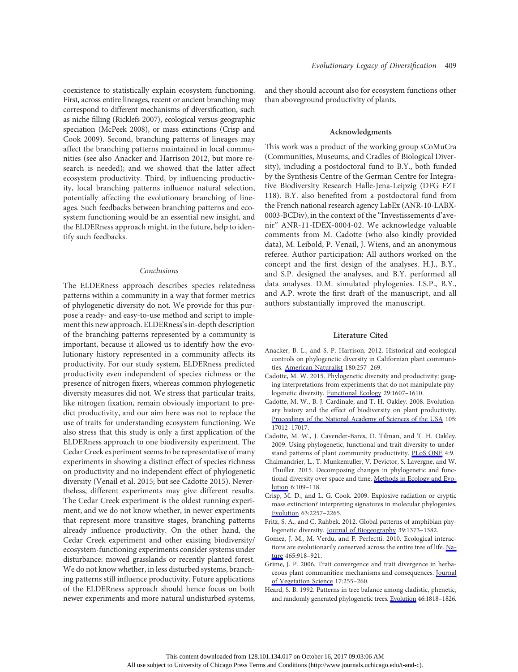coexistence to statistically explain ecosystem functioning. First, across entire lineages, recent or ancient branching may correspond to different mechanisms of diversification, such as niche filling (Ricklefs 2007), ecological versus geographic speciation (McPeek 2008), or mass extinctions (Crisp and Cook 2009). Second, branching patterns of lineages may affect the branching patterns maintained in local communities (see also Anacker and Harrison 2012, but more research is needed); and we showed that the latter affect ecosystem productivity. Third, by influencing productivity, local branching patterns influence natural selection, potentially affecting the evolutionary branching of lineages. Such feedbacks between branching patterns and ecosystem functioning would be an essential new insight, and the ELDERness approach might, in the future, help to identify such feedbacks.

#### Conclusions

The ELDERness approach describes species relatedness patterns within a community in a way that former metrics of phylogenetic diversity do not. We provide for this purpose a ready- and easy-to-use method and script to implement this new approach. ELDERness's in-depth description of the branching patterns represented by a community is important, because it allowed us to identify how the evolutionary history represented in a community affects its productivity. For our study system, ELDERness predicted productivity even independent of species richness or the presence of nitrogen fixers, whereas common phylogenetic diversity measures did not. We stress that particular traits, like nitrogen fixation, remain obviously important to predict productivity, and our aim here was not to replace the use of traits for understanding ecosystem functioning. We also stress that this study is only a first application of the ELDERness approach to one biodiversity experiment. The Cedar Creek experiment seems to be representative of many experiments in showing a distinct effect of species richness on productivity and no independent effect of phylogenetic diversity (Venail et al. 2015; but see Cadotte 2015). Nevertheless, different experiments may give different results. The Cedar Creek experiment is the oldest running experiment, and we do not know whether, in newer experiments that represent more transitive stages, branching patterns already influence productivity. On the other hand, the Cedar Creek experiment and other existing biodiversity/ ecosystem-functioning experiments consider systems under disturbance: mowed grasslands or recently planted forest. We do not know whether, in less disturbed systems, branching patterns still influence productivity. Future applications of the ELDERness approach should hence focus on both newer experiments and more natural undisturbed systems, and they should account also for ecosystem functions other than aboveground productivity of plants.

#### Acknowledgments

This work was a product of the working group sCoMuCra (Communities, Museums, and Cradles of Biological Diversity), including a postdoctoral fund to B.Y., both funded by the Synthesis Centre of the German Centre for Integrative Biodiversity Research Halle-Jena-Leipzig (DFG FZT 118). B.Y. also benefited from a postdoctoral fund from the French national research agency LabEx (ANR-10-LABX-0003-BCDiv), in the context of the "Investissements d'avenir" ANR-11-IDEX-0004-02. We acknowledge valuable comments from M. Cadotte (who also kindly provided data), M. Leibold, P. Venail, J. Wiens, and an anonymous referee. Author participation: All authors worked on the concept and the first design of the analyses. H.J., B.Y., and S.P. designed the analyses, and B.Y. performed all data analyses. D.M. simulated phylogenies. I.S.P., B.Y., and A.P. wrote the first draft of the manuscript, and all authors substantially improved the manuscript.

#### Literature Cited

- Anacker, B. L., and S. P. Harrison. 2012. Historical and ecological controls on phylogenetic diversity in Californian plant communities. [American Naturalist](http://www.journals.uchicago.edu/action/showLinks?system=10.1086%2F666650) 180:257–269.
- Cadotte, M. W. 2015. Phylogenetic diversity and productivity: gauging interpretations from experiments that do not manipulate phylogenetic diversity. [Functional Ecology](http://www.journals.uchicago.edu/action/showLinks?crossref=10.1111%2F1365-2435.12540) 29:1607–1610.
- Cadotte, M. W., B. J. Cardinale, and T. H. Oakley. 2008. Evolutionary history and the effect of biodiversity on plant productivity. [Proceedings of the National Academy of Sciences of the USA](http://www.journals.uchicago.edu/action/showLinks?pmid=18971334&crossref=10.1073%2Fpnas.0805962105) 105: 17012–17017.
- Cadotte, M. W., J. Cavender-Bares, D. Tilman, and T. H. Oakley. 2009. Using phylogenetic, functional and trait diversity to understand patterns of plant community productivity. [PLoS ONE](http://www.journals.uchicago.edu/action/showLinks?crossref=10.1371%2Fjournal.pone.0005695) 4:9.
- Chalmandrier, L., T. Munkemuller, V. Devictor, S. Lavergne, and W. Thuiller. 2015. Decomposing changes in phylogenetic and functional diversity over space and time. [Methods in Ecology and Evo](http://www.journals.uchicago.edu/action/showLinks?pmid=25685310&crossref=10.1111%2F2041-210X.12297)[lution](http://www.journals.uchicago.edu/action/showLinks?pmid=25685310&crossref=10.1111%2F2041-210X.12297) 6:109–118.
- Crisp, M. D., and L. G. Cook. 2009. Explosive radiation or cryptic mass extinction? interpreting signatures in molecular phylogenies. [Evolution](http://www.journals.uchicago.edu/action/showLinks?pmid=19486148&crossref=10.1111%2Fj.1558-5646.2009.00728.x) 63:2257–2265.
- Fritz, S. A., and C. Rahbek. 2012. Global patterns of amphibian phylogenetic diversity. [Journal of Biogeography](http://www.journals.uchicago.edu/action/showLinks?crossref=10.1111%2Fj.1365-2699.2012.02757.x) 39:1373–1382.
- Gomez, J. M., M. Verdu, and F. Perfectti. 2010. Ecological interactions are evolutionarily conserved across the entire tree of life. [Na](http://www.journals.uchicago.edu/action/showLinks?pmid=20520609&crossref=10.1038%2Fnature09113)[ture](http://www.journals.uchicago.edu/action/showLinks?pmid=20520609&crossref=10.1038%2Fnature09113) 465:918–921.
- Grime, J. P. 2006. Trait convergence and trait divergence in herbaceous plant communities: mechanisms and consequences. [Journal](http://www.journals.uchicago.edu/action/showLinks?crossref=10.1111%2Fj.1654-1103.2006.tb02444.x) [of Vegetation Science](http://www.journals.uchicago.edu/action/showLinks?crossref=10.1111%2Fj.1654-1103.2006.tb02444.x) 17:255–260.
- Heard, S. B. 1992. Patterns in tree balance among cladistic, phenetic, and randomly generated phylogenetic trees. [Evolution](http://www.journals.uchicago.edu/action/showLinks?crossref=10.2307%2F2410033) 46:1818–1826.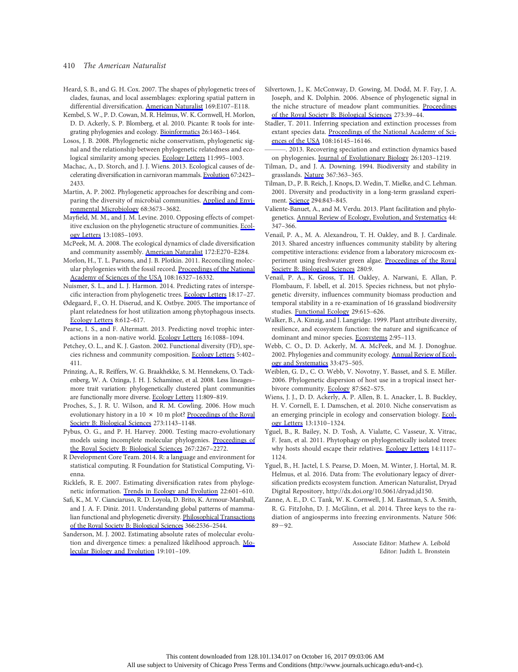#### 410 The American Naturalist

- Heard, S. B., and G. H. Cox. 2007. The shapes of phylogenetic trees of clades, faunas, and local assemblages: exploring spatial pattern in differential diversification. [American Naturalist](http://www.journals.uchicago.edu/action/showLinks?system=10.1086%2F512690) 169:E107–E118.
- Kembel, S. W., P. D. Cowan, M. R. Helmus, W. K. Cornwell, H. Morlon, D. D. Ackerly, S. P. Blomberg, et al. 2010. Picante: R tools for integrating phylogenies and ecology. [Bioinformatics](http://www.journals.uchicago.edu/action/showLinks?pmid=20395285&crossref=10.1093%2Fbioinformatics%2Fbtq166) 26:1463–1464.
- Losos, J. B. 2008. Phylogenetic niche conservatism, phylogenetic signal and the relationship between phylogenetic relatedness and ecological similarity among species. [Ecology Letters](http://www.journals.uchicago.edu/action/showLinks?pmid=18673385&crossref=10.1111%2Fj.1461-0248.2008.01229.x) 11:995–1003.
- Machac, A., D. Storch, and J. J. Wiens. 2013. Ecological causes of decelerating diversification in carnivoran mammals. [Evolution](http://www.journals.uchicago.edu/action/showLinks?pmid=23888862&crossref=10.1111%2Fevo.12126) 67:2423– 2433.
- Martin, A. P. 2002. Phylogenetic approaches for describing and comparing the diversity of microbial communities. [Applied and Envi](http://www.journals.uchicago.edu/action/showLinks?pmid=12147459&crossref=10.1128%2FAEM.68.8.3673-3682.2002)[ronmental Microbiology](http://www.journals.uchicago.edu/action/showLinks?pmid=12147459&crossref=10.1128%2FAEM.68.8.3673-3682.2002) 68:3673–3682.
- Mayfield, M. M., and J. M. Levine. 2010. Opposing effects of competitive exclusion on the phylogenetic structure of communities. [Ecol](http://www.journals.uchicago.edu/action/showLinks?pmid=20576030&crossref=10.1111%2Fj.1461-0248.2010.01509.x)[ogy Letters](http://www.journals.uchicago.edu/action/showLinks?pmid=20576030&crossref=10.1111%2Fj.1461-0248.2010.01509.x) 13:1085–1093.
- McPeek, M. A. 2008. The ecological dynamics of clade diversification and community assembly. [American Naturalist](http://www.journals.uchicago.edu/action/showLinks?system=10.1086%2F593137) 172:E270–E284.
- Morlon, H., T. L. Parsons, and J. B. Plotkin. 2011. Reconciling molec-ular phylogenies with the fossil record. [Proceedings of the National](http://www.journals.uchicago.edu/action/showLinks?pmid=21930899&crossref=10.1073%2Fpnas.1102543108) [Academy of Sciences of the USA](http://www.journals.uchicago.edu/action/showLinks?pmid=21930899&crossref=10.1073%2Fpnas.1102543108) 108:16327–16332.
- Nuismer, S. L., and L. J. Harmon. 2014. Predicting rates of interspecific interaction from phylogenetic trees. [Ecology Letters](http://www.journals.uchicago.edu/action/showLinks?pmid=25349102&crossref=10.1111%2Fele.12384) 18:17–27.
- Ødegaard, F., O. H. Diserud, and K. Ostbye. 2005. The importance of plant relatedness for host utilization among phytophagous insects. [Ecology Letters](http://www.journals.uchicago.edu/action/showLinks?crossref=10.1111%2Fj.1461-0248.2005.00758.x) 8:612–617.
- Pearse, I. S., and F. Altermatt. 2013. Predicting novel trophic interactions in a non-native world. [Ecology Letters](http://www.journals.uchicago.edu/action/showLinks?pmid=23800217&crossref=10.1111%2Fele.12143) 16:1088–1094.
- Petchey, O. L., and K. J. Gaston. 2002. Functional diversity (FD), species richness and community composition. [Ecology Letters](http://www.journals.uchicago.edu/action/showLinks?crossref=10.1046%2Fj.1461-0248.2002.00339.x) 5:402– 411.
- Prinzing, A., R. Reiffers, W. G. Braakhekke, S. M. Hennekens, O. Tackenberg, W. A. Ozinga, J. H. J. Schaminee, et al. 2008. Less lineages– more trait variation: phylogenetically clustered plant communities are functionally more diverse. [Ecology Letters](http://www.journals.uchicago.edu/action/showLinks?pmid=18445034&crossref=10.1111%2Fj.1461-0248.2008.01189.x) 11:809–819.
- Proches, S., J. R. U. Wilson, and R. M. Cowling. 2006. How much evolutionary history in a 10  $\times$  10 m plot? [Proceedings of the Royal](http://www.journals.uchicago.edu/action/showLinks?pmid=16600893&crossref=10.1098%2Frspb.2005.3427) [Society B: Biological Sciences](http://www.journals.uchicago.edu/action/showLinks?pmid=16600893&crossref=10.1098%2Frspb.2005.3427) 273:1143–1148.
- Pybus, O. G., and P. H. Harvey. 2000. Testing macro-evolutionary models using incomplete molecular phylogenies. [Proceedings of](http://www.journals.uchicago.edu/action/showLinks?pmid=11413642&crossref=10.1098%2Frspb.2000.1278) [the Royal Society B: Biological Sciences](http://www.journals.uchicago.edu/action/showLinks?pmid=11413642&crossref=10.1098%2Frspb.2000.1278) 267:2267–2272.
- R Development Core Team. 2014. R: a language and environment for statistical computing. R Foundation for Statistical Computing, Vienna.
- Ricklefs, R. E. 2007. Estimating diversification rates from phylogenetic information. [Trends in Ecology and Evolution](http://www.journals.uchicago.edu/action/showLinks?pmid=17963995&crossref=10.1016%2Fj.tree.2007.06.013) 22:601–610.
- Safi, K., M. V. Cianciaruso, R. D. Loyola, D. Brito, K. Armour-Marshall, and J. A. F. Diniz. 2011. Understanding global patterns of mammalian functional and phylogenetic diversity. [Philosophical Transactions](http://www.journals.uchicago.edu/action/showLinks?pmid=21807734&crossref=10.1098%2Frstb.2011.0024) [of the Royal Society B: Biological Sciences](http://www.journals.uchicago.edu/action/showLinks?pmid=21807734&crossref=10.1098%2Frstb.2011.0024) 366:2536–2544.
- Sanderson, M. J. 2002. Estimating absolute rates of molecular evolution and divergence times: a penalized likelihood approach. [Mo](http://www.journals.uchicago.edu/action/showLinks?pmid=11752195&crossref=10.1093%2Foxfordjournals.molbev.a003974)[lecular Biology and Evolution](http://www.journals.uchicago.edu/action/showLinks?pmid=11752195&crossref=10.1093%2Foxfordjournals.molbev.a003974) 19:101–109.
- Silvertown, J., K. McConway, D. Gowing, M. Dodd, M. F. Fay, J. A. Joseph, and K. Dolphin. 2006. Absence of phylogenetic signal in the niche structure of meadow plant communities. [Proceedings](http://www.journals.uchicago.edu/action/showLinks?pmid=16519232&crossref=10.1098%2Frspb.2005.3288) [of the Royal Society B: Biological Sciences](http://www.journals.uchicago.edu/action/showLinks?pmid=16519232&crossref=10.1098%2Frspb.2005.3288) 273:39–44.
- Stadler, T. 2011. Inferring speciation and extinction processes from extant species data. [Proceedings of the National Academy of Sci](http://www.journals.uchicago.edu/action/showLinks?pmid=21930908&crossref=10.1073%2Fpnas.1113242108)[ences of the USA](http://www.journals.uchicago.edu/action/showLinks?pmid=21930908&crossref=10.1073%2Fpnas.1113242108) 108:16145–16146.
- 2013. Recovering speciation and extinction dynamics based on phylogenies. [Journal of Evolutionary Biology](http://www.journals.uchicago.edu/action/showLinks?pmid=23662978&crossref=10.1111%2Fjeb.12139) 26:1203–1219.
- Tilman, D., and J. A. Downing. 1994. Biodiversity and stability in grasslands. [Nature](http://www.journals.uchicago.edu/action/showLinks?crossref=10.1038%2F367363a0) 367:363–365.
- Tilman, D., P. B. Reich, J. Knops, D. Wedin, T. Mielke, and C. Lehman. 2001. Diversity and productivity in a long-term grassland experiment. [Science](http://www.journals.uchicago.edu/action/showLinks?pmid=11679667&crossref=10.1126%2Fscience.1060391) 294:843–845.
- Valiente-Banuet, A., and M. Verdu. 2013. Plant facilitation and phylogenetics. [Annual Review of Ecology, Evolution, and Systematics](http://www.journals.uchicago.edu/action/showLinks?crossref=10.1146%2Fannurev-ecolsys-110512-135855) 44: 347–366.
- Venail, P. A., M. A. Alexandrou, T. H. Oakley, and B. J. Cardinale. 2013. Shared ancestry influences community stability by altering competitive interactions: evidence from a laboratory microcosm experiment using freshwater green algae. [Proceedings of the Royal](http://www.journals.uchicago.edu/action/showLinks?crossref=10.1098%2Frspb.2013.1548) [Society B: Biological Sciences](http://www.journals.uchicago.edu/action/showLinks?crossref=10.1098%2Frspb.2013.1548) 280:9.
- Venail, P. A., K. Gross, T. H. Oakley, A. Narwani, E. Allan, P. Flombaum, F. Isbell, et al. 2015. Species richness, but not phylogenetic diversity, influences community biomass production and temporal stability in a re-examination of 16 grassland biodiversity studies. [Functional Ecology](http://www.journals.uchicago.edu/action/showLinks?crossref=10.1111%2F1365-2435.12432) 29:615–626.
- Walker, B., A. Kinzig, and J. Langridge. 1999. Plant attribute diversity, resilience, and ecosystem function: the nature and significance of dominant and minor species. [Ecosystems](http://www.journals.uchicago.edu/action/showLinks?crossref=10.1007%2Fs100219900062) 2:95–113.
- Webb, C. O., D. D. Ackerly, M. A. McPeek, and M. J. Donoghue. 2002. Phylogenies and community ecology. [Annual Review of Ecol](http://www.journals.uchicago.edu/action/showLinks?crossref=10.1146%2Fannurev.ecolsys.33.010802.150448)[ogy and Systematics](http://www.journals.uchicago.edu/action/showLinks?crossref=10.1146%2Fannurev.ecolsys.33.010802.150448) 33:475–505.
- Weiblen, G. D., C. O. Webb, V. Novotny, Y. Basset, and S. E. Miller. 2006. Phylogenetic dispersion of host use in a tropical insect herbivore community. [Ecology](http://www.journals.uchicago.edu/action/showLinks?pmid=16922303&crossref=10.1890%2F0012-9658%282006%2987%5B62%3APDOHUI%5D2.0.CO%3B2) 87:S62–S75.
- Wiens, J. J., D. D. Ackerly, A. P. Allen, B. L. Anacker, L. B. Buckley, H. V. Cornell, E. I. Damschen, et al. 2010. Niche conservatism as an emerging principle in ecology and conservation biology. [Ecol](http://www.journals.uchicago.edu/action/showLinks?pmid=20649638&crossref=10.1111%2Fj.1461-0248.2010.01515.x)[ogy Letters](http://www.journals.uchicago.edu/action/showLinks?pmid=20649638&crossref=10.1111%2Fj.1461-0248.2010.01515.x) 13:1310–1324.
- Yguel, B., R. Bailey, N. D. Tosh, A. Vialatte, C. Vasseur, X. Vitrac, F. Jean, et al. 2011. Phytophagy on phylogenetically isolated trees: why hosts should escape their relatives. [Ecology Letters](http://www.journals.uchicago.edu/action/showLinks?pmid=21923895&crossref=10.1111%2Fj.1461-0248.2011.01680.x) 14:1117– 1124.
- Yguel, B., H. Jactel, I. S. Pearse, D. Moen, M. Winter, J. Hortal, M. R. Helmus, et al. 2016. Data from: The evolutionary legacy of diversification predicts ecosystem function. American Naturalist, Dryad Digital Repository, http://dx.doi.org/10.5061/dryad.jd150.
- Zanne, A. E., D. C. Tank, W. K. Cornwell, J. M. Eastman, S. A. Smith, R. G. FitzJohn, D. J. McGlinn, et al. 2014. Three keys to the radiation of angiosperms into freezing environments. Nature 506:  $89 - 92.$

Associate Editor: Mathew A. Leibold Editor: Judith L. Bronstein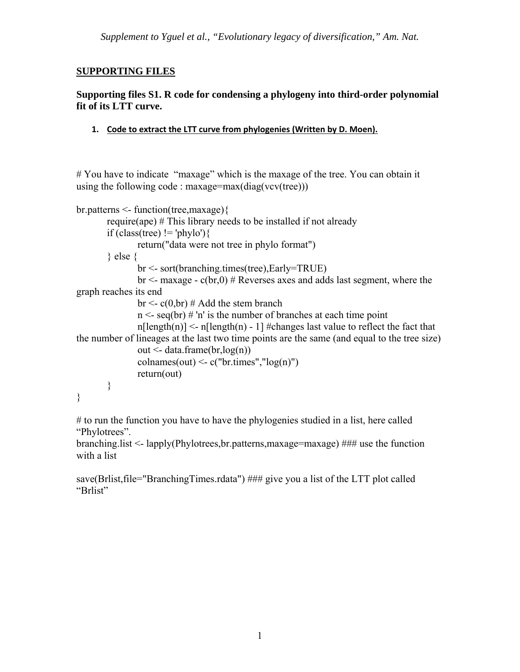### **SUPPORTING FILES**

### **Supporting files S1. R code for condensing a phylogeny into third-order polynomial fit of its LTT curve.**

**1. Code to extract the LTT curve from phylogenies (Written by D. Moen).**

# You have to indicate "maxage" which is the maxage of the tree. You can obtain it using the following code : maxage=max(diag(vcv(tree)))

```
br.patterns <- function(tree,maxage){ 
         require(ape) # This library needs to be installed if not already 
        if (class(tree) != 'phylo'){
                return("data were not tree in phylo format") 
         } else { 
                br <- sort(branching.times(tree),Early=TRUE) 
               br \le- maxage - c(br,0) # Reverses axes and adds last segment, where the
graph reaches its end 
               br <- c(0,br) # Add the stem branch
               n \le seq(br) # 'n' is the number of branches at each time point
               n[length(n)] < n[length(n) - 1] #changes last value to reflect the fact that
the number of lineages at the last two time points are the same (and equal to the tree size) 
               out \leq- data.frame(br,log(n))
               colnames(out) <- c("br.times","log(n)")
                return(out) 
         } 
}
```
# to run the function you have to have the phylogenies studied in a list, here called "Phylotrees".

branching.list <- lapply(Phylotrees,br.patterns,maxage=maxage) ### use the function with a list

save(Brlist,file="BranchingTimes.rdata") ### give you a list of the LTT plot called "Brlist"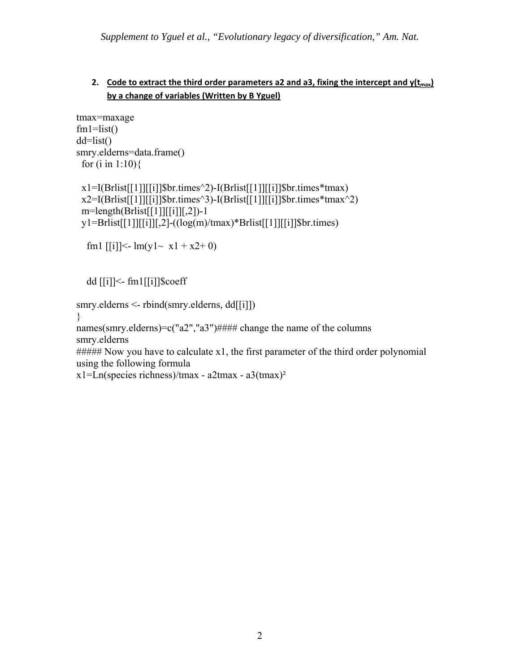### **2. Code to extract the third order parameters a2 and a3, fixing the intercept and y(tmax) by a change of variables (Written by B Yguel)**

```
tmax=maxage 
fm1=list()dd=list()smry.elderns=data.frame() 
 for (i \text{ in } 1:10)
```

```
x1 = I(Brlist[[1]][[i]]$br.times^2] - I(Brlist[[1]][[i]]$br.times*tmax)x2=I(Brlist[[1]][[i]]$br.times^3)-I(Brlist[[1]][[i]]$br.times*tmax^2) m=length(Brlist[[1]][[i]][,2])-1 
 y1=Brlist[[1]][[i]][,2]-((log(m)/tmax)*Brlist[[1]][[i]]$br.times)
```

```
fm1 [[i]] <- \text{Im}(y1 - x1 + x2 + 0)
```
dd [[i]]<- fm1[[i]]\$coeff

```
smry.elderns <- rbind(smry.elderns, dd[[i]]) 
} 
names(smry.elderns)=c("a2","a3")#### change the name of the columns
smry.elderns 
##### Now you have to calculate x1, the first parameter of the third order polynomial
using the following formula 
x1=Ln(species richness)/tmax - a2tmax - a3(tmax)<sup>2</sup>
```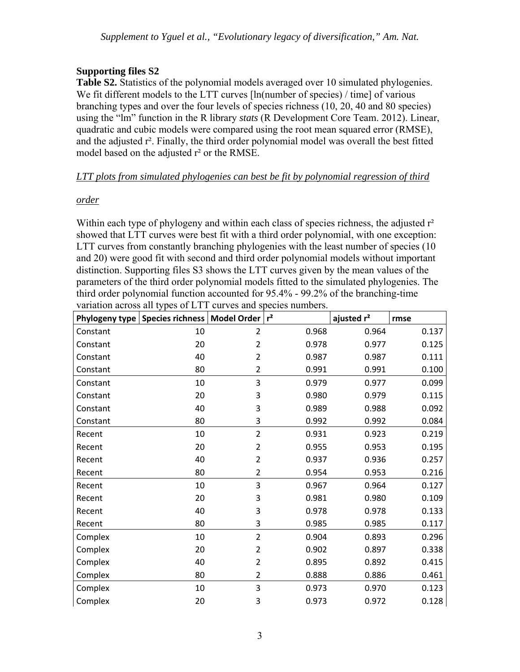### **Supporting files S2**

**Table S2.** Statistics of the polynomial models averaged over 10 simulated phylogenies. We fit different models to the LTT curves  $\text{In}(\text{number of species}) / \text{time}$  of various branching types and over the four levels of species richness (10, 20, 40 and 80 species) using the "lm" function in the R library *stats* (R Development Core Team. 2012). Linear, quadratic and cubic models were compared using the root mean squared error (RMSE), and the adjusted r². Finally, the third order polynomial model was overall the best fitted model based on the adjusted r<sup>2</sup> or the RMSE.

### *LTT plots from simulated phylogenies can best be fit by polynomial regression of third*

#### *order*

Within each type of phylogeny and within each class of species richness, the adjusted  $r^2$ showed that LTT curves were best fit with a third order polynomial, with one exception: LTT curves from constantly branching phylogenies with the least number of species (10 and 20) were good fit with second and third order polynomial models without important distinction. Supporting files S3 shows the LTT curves given by the mean values of the parameters of the third order polynomial models fitted to the simulated phylogenies. The third order polynomial function accounted for 95.4% - 99.2% of the branching-time variation across all types of LTT curves and species numbers.

|          | Phylogeny type   Species richness   Model Order |                | $r^2$ | ajusted r <sup>2</sup> | rmse  |
|----------|-------------------------------------------------|----------------|-------|------------------------|-------|
| Constant | 10                                              | 2              | 0.968 | 0.964                  | 0.137 |
| Constant | 20                                              | $\overline{2}$ | 0.978 | 0.977                  | 0.125 |
| Constant | 40                                              | $\overline{2}$ | 0.987 | 0.987                  | 0.111 |
| Constant | 80                                              | $\overline{2}$ | 0.991 | 0.991                  | 0.100 |
| Constant | $10\,$                                          | 3              | 0.979 | 0.977                  | 0.099 |
| Constant | 20                                              | 3              | 0.980 | 0.979                  | 0.115 |
| Constant | 40                                              | 3              | 0.989 | 0.988                  | 0.092 |
| Constant | 80                                              | 3              | 0.992 | 0.992                  | 0.084 |
| Recent   | 10                                              | $\overline{2}$ | 0.931 | 0.923                  | 0.219 |
| Recent   | 20                                              | $\overline{2}$ | 0.955 | 0.953                  | 0.195 |
| Recent   | 40                                              | $\overline{2}$ | 0.937 | 0.936                  | 0.257 |
| Recent   | 80                                              | $\overline{2}$ | 0.954 | 0.953                  | 0.216 |
| Recent   | 10                                              | 3              | 0.967 | 0.964                  | 0.127 |
| Recent   | 20                                              | 3              | 0.981 | 0.980                  | 0.109 |
| Recent   | 40                                              | 3              | 0.978 | 0.978                  | 0.133 |
| Recent   | 80                                              | 3              | 0.985 | 0.985                  | 0.117 |
| Complex  | 10                                              | $\overline{2}$ | 0.904 | 0.893                  | 0.296 |
| Complex  | 20                                              | $\overline{2}$ | 0.902 | 0.897                  | 0.338 |
| Complex  | 40                                              | $\overline{2}$ | 0.895 | 0.892                  | 0.415 |
| Complex  | 80                                              | $\overline{2}$ | 0.888 | 0.886                  | 0.461 |
| Complex  | 10                                              | 3              | 0.973 | 0.970                  | 0.123 |
| Complex  | 20                                              | 3              | 0.973 | 0.972                  | 0.128 |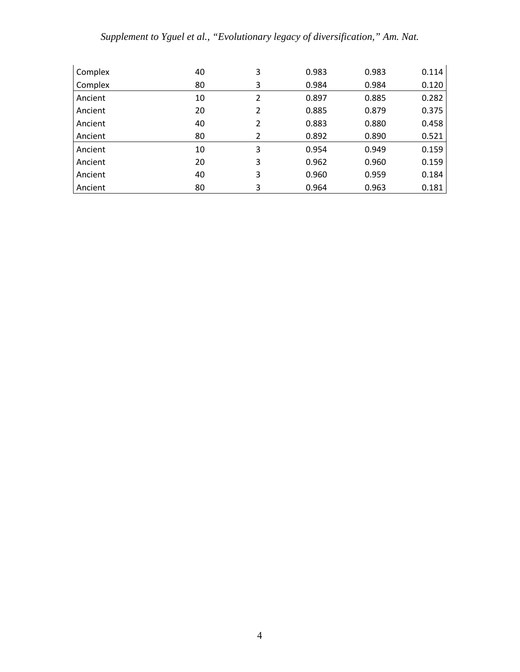# *Supplement to Yguel et al., "Evolutionary legacy of diversification," Am. Nat.*

| Complex | 40 | 3 | 0.983 | 0.983 | 0.114 |
|---------|----|---|-------|-------|-------|
| Complex | 80 | 3 | 0.984 | 0.984 | 0.120 |
| Ancient | 10 | 2 | 0.897 | 0.885 | 0.282 |
| Ancient | 20 | 2 | 0.885 | 0.879 | 0.375 |
| Ancient | 40 | 2 | 0.883 | 0.880 | 0.458 |
| Ancient | 80 | 2 | 0.892 | 0.890 | 0.521 |
| Ancient | 10 | 3 | 0.954 | 0.949 | 0.159 |
| Ancient | 20 | 3 | 0.962 | 0.960 | 0.159 |
| Ancient | 40 | 3 | 0.960 | 0.959 | 0.184 |
| Ancient | 80 | 3 | 0.964 | 0.963 | 0.181 |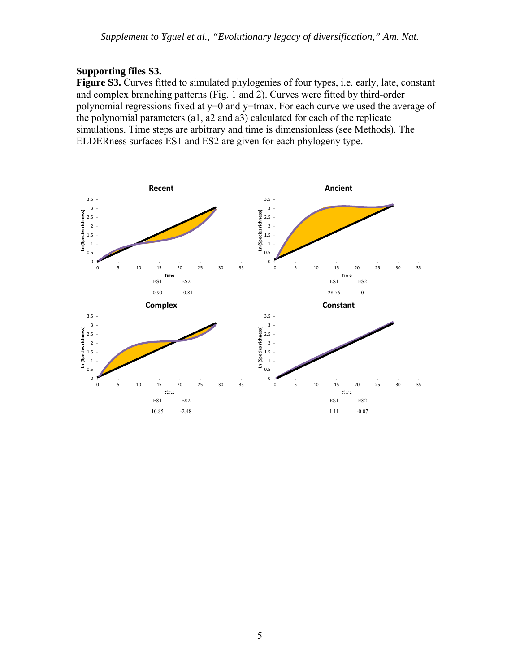#### **Supporting files S3.**

**Figure S3.** Curves fitted to simulated phylogenies of four types, i.e. early, late, constant and complex branching patterns (Fig. 1 and 2). Curves were fitted by third-order polynomial regressions fixed at y=0 and y=tmax. For each curve we used the average of the polynomial parameters (a1, a2 and a3) calculated for each of the replicate simulations. Time steps are arbitrary and time is dimensionless (see Methods). The ELDERness surfaces ES1 and ES2 are given for each phylogeny type.

![](_page_17_Figure_3.jpeg)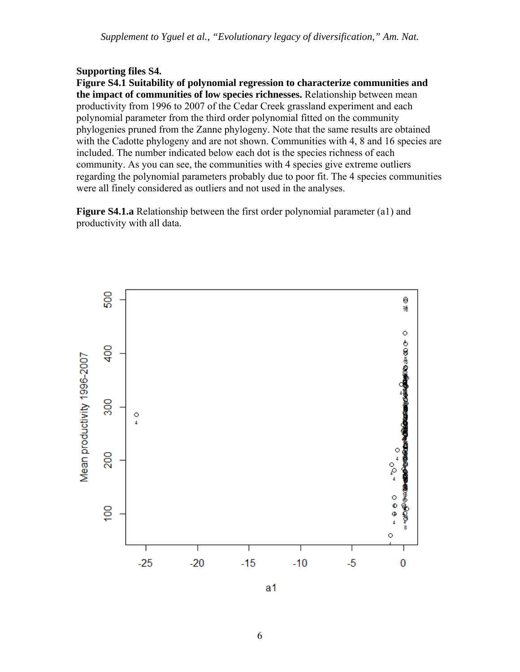#### **Supporting files S4.**

**Figure S4.1 Suitability of polynomial regression to characterize communities and the impact of communities of low species richnesses.** Relationship between mean productivity from 1996 to 2007 of the Cedar Creek grassland experiment and each polynomial parameter from the third order polynomial fitted on the community phylogenies pruned from the Zanne phylogeny. Note that the same results are obtained with the Cadotte phylogeny and are not shown. Communities with 4, 8 and 16 species are included. The number indicated below each dot is the species richness of each community. As you can see, the communities with 4 species give extreme outliers regarding the polynomial parameters probably due to poor fit. The 4 species communities were all finely considered as outliers and not used in the analyses.

**Figure S4.1.a** Relationship between the first order polynomial parameter (a1) and productivity with all data.

![](_page_18_Figure_4.jpeg)

a1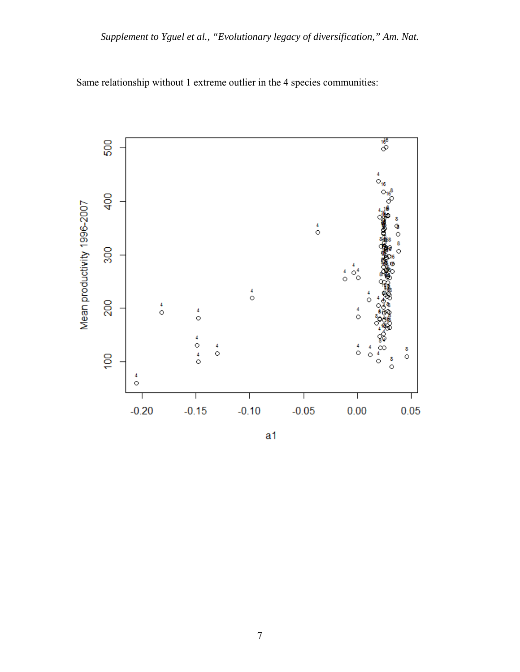Same relationship without 1 extreme outlier in the 4 species communities:

![](_page_19_Figure_2.jpeg)

 $a1$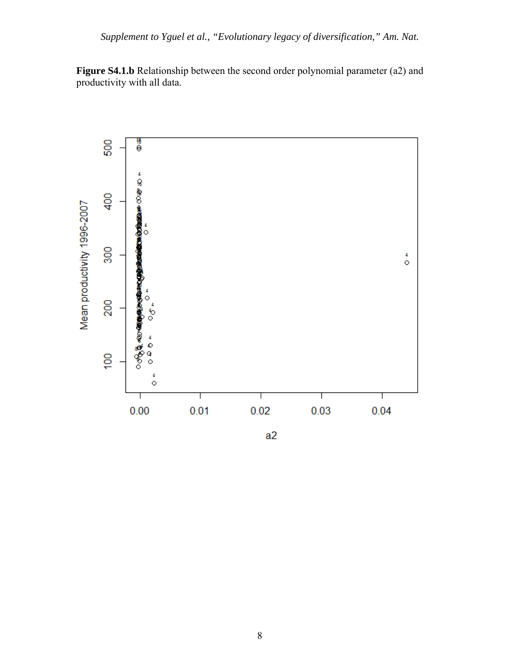**Figure S4.1.b** Relationship between the second order polynomial parameter (a2) and productivity with all data.

![](_page_20_Figure_2.jpeg)

a<sub>2</sub>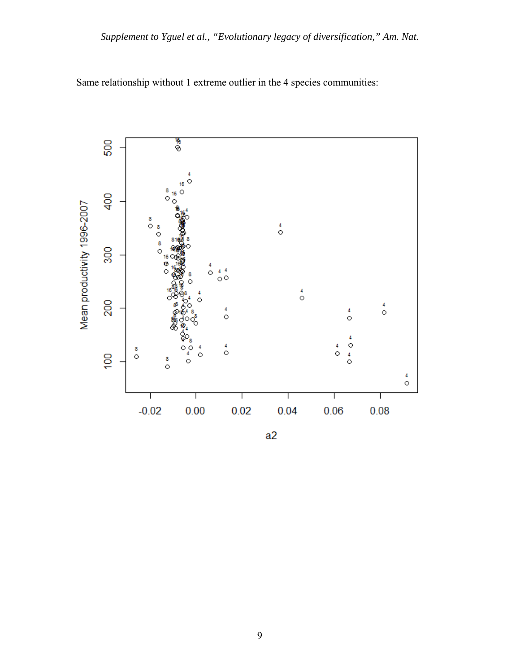![](_page_21_Figure_1.jpeg)

![](_page_21_Figure_2.jpeg)

a<sub>2</sub>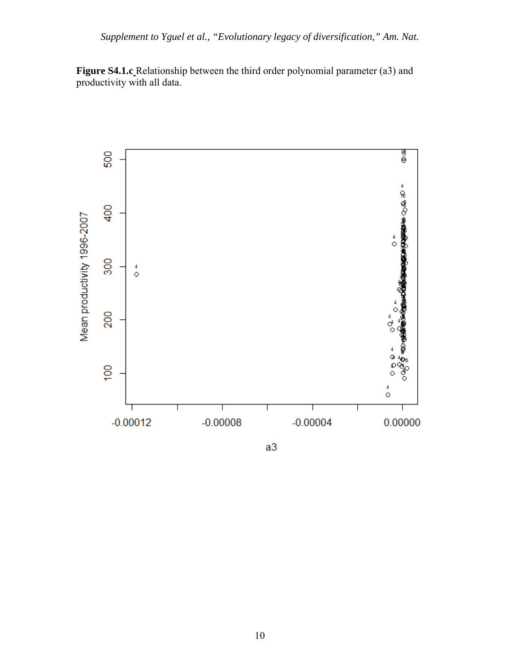**Figure S4.1.c** Relationship between the third order polynomial parameter (a3) and productivity with all data.

![](_page_22_Figure_2.jpeg)

a3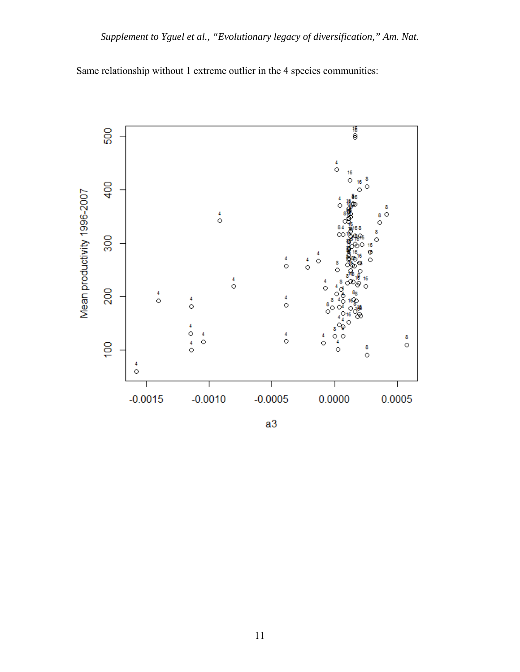![](_page_23_Figure_1.jpeg)

![](_page_23_Figure_2.jpeg)

 $a3$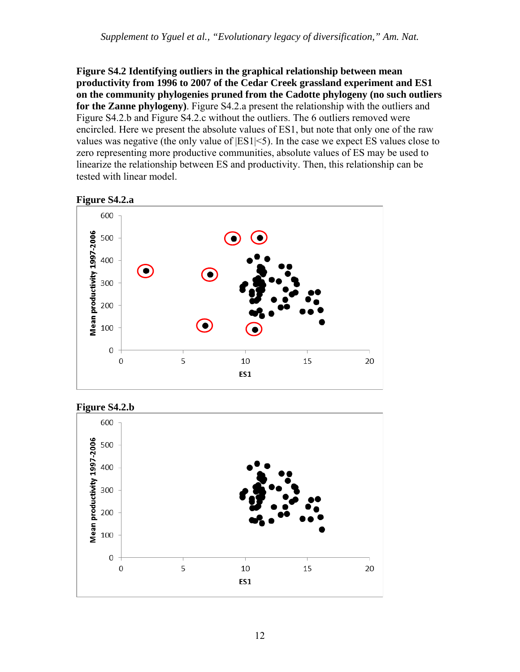**Figure S4.2 Identifying outliers in the graphical relationship between mean productivity from 1996 to 2007 of the Cedar Creek grassland experiment and ES1 on the community phylogenies pruned from the Cadotte phylogeny (no such outliers for the Zanne phylogeny)**. Figure S4.2.a present the relationship with the outliers and Figure S4.2.b and Figure S4.2.c without the outliers. The 6 outliers removed were encircled. Here we present the absolute values of ES1, but note that only one of the raw values was negative (the only value of  $|ES1| \le 5$ ). In the case we expect ES values close to zero representing more productive communities, absolute values of ES may be used to linearize the relationship between ES and productivity. Then, this relationship can be tested with linear model.

![](_page_24_Figure_2.jpeg)

![](_page_24_Figure_3.jpeg)

![](_page_24_Figure_4.jpeg)

![](_page_24_Figure_5.jpeg)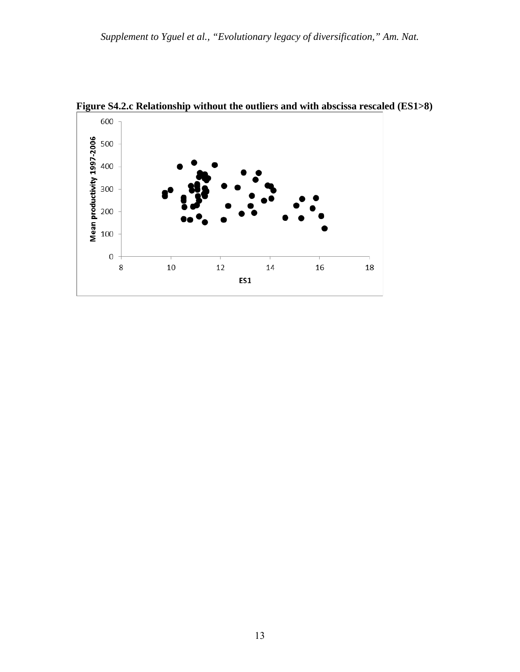![](_page_25_Figure_1.jpeg)

**Figure S4.2.c Relationship without the outliers and with abscissa rescaled (ES1>8)**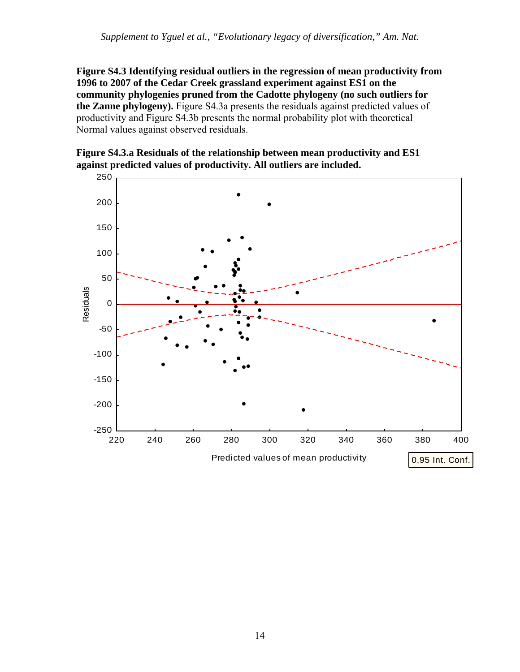**Figure S4.3 Identifying residual outliers in the regression of mean productivity from 1996 to 2007 of the Cedar Creek grassland experiment against ES1 on the community phylogenies pruned from the Cadotte phylogeny (no such outliers for the Zanne phylogeny).** Figure S4.3a presents the residuals against predicted values of productivity and Figure S4.3b presents the normal probability plot with theoretical Normal values against observed residuals.

![](_page_26_Figure_2.jpeg)

![](_page_26_Figure_3.jpeg)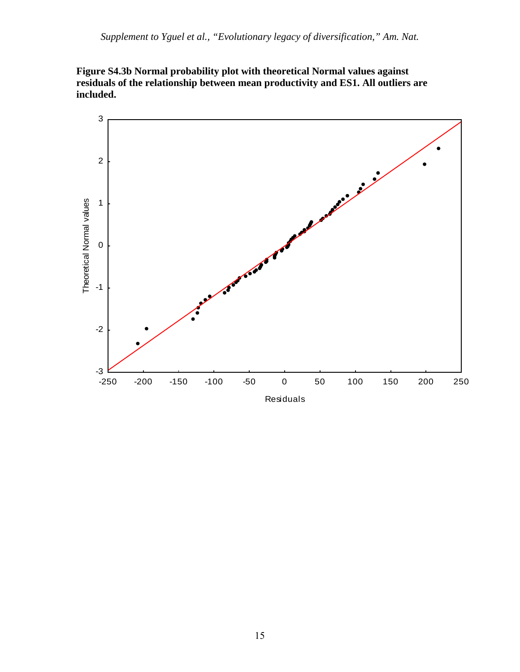![](_page_27_Figure_1.jpeg)

![](_page_27_Figure_2.jpeg)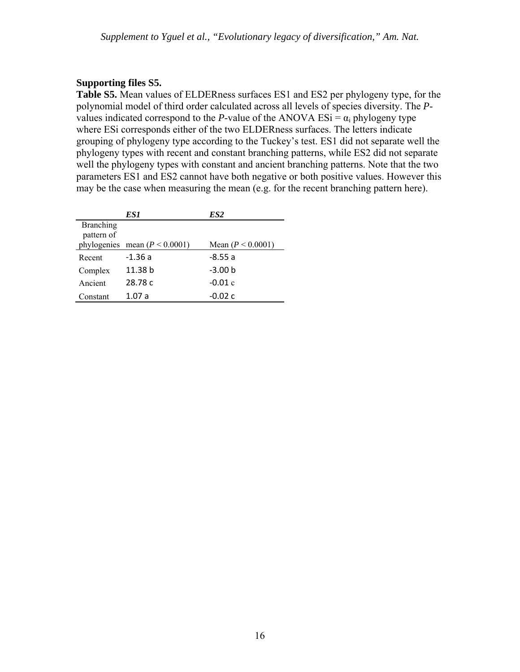#### **Supporting files S5.**

**Table S5.** Mean values of ELDERness surfaces ES1 and ES2 per phylogeny type, for the polynomial model of third order calculated across all levels of species diversity. The *P*values indicated correspond to the *P*-value of the ANOVA  $ESi = \alpha_i$  phylogeny type where ESi corresponds either of the two ELDERness surfaces. The letters indicate grouping of phylogeny type according to the Tuckey's test. ES1 did not separate well the phylogeny types with recent and constant branching patterns, while ES2 did not separate well the phylogeny types with constant and ancient branching patterns. Note that the two parameters ES1 and ES2 cannot have both negative or both positive values. However this may be the case when measuring the mean (e.g. for the recent branching pattern here).

|                  | ES1                             | ES2                 |
|------------------|---------------------------------|---------------------|
| <b>Branching</b> |                                 |                     |
| pattern of       | phylogenies mean $(P < 0.0001)$ | Mean $(P < 0.0001)$ |
| Recent           | $-1.36a$                        | $-8.55a$            |
| Complex          | 11.38 b                         | $-3.00 b$           |
| Ancient          | 28.78 c                         | $-0.01c$            |
| Constant         | 1.07a                           | $-0.02c$            |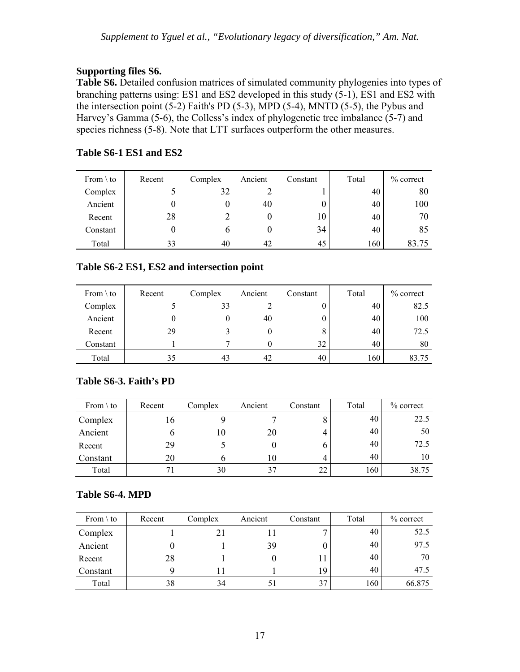### **Supporting files S6.**

**Table S6.** Detailed confusion matrices of simulated community phylogenies into types of branching patterns using: ES1 and ES2 developed in this study (5-1), ES1 and ES2 with the intersection point  $(5-2)$  Faith's PD  $(5-3)$ , MPD  $(5-4)$ , MNTD  $(5-5)$ , the Pybus and Harvey's Gamma (5-6), the Colless's index of phylogenetic tree imbalance (5-7) and species richness (5-8). Note that LTT surfaces outperform the other measures.

| From $\setminus$ to | Recent | Complex | Ancient | Constant | Total | $\%$ correct |
|---------------------|--------|---------|---------|----------|-------|--------------|
| Complex             |        |         |         |          | 40    | 80           |
| Ancient             | U      |         | 40      |          | 40    | 100          |
| Recent              | 28     |         | U       | 10       | 40    | 70           |
| Constant            |        |         |         | 34       | 40    | 85           |
| Total               | 33     | 40      | 42      | 45       | 160   | 83.75        |

### **Table S6-1 ES1 and ES2**

### **Table S6-2 ES1, ES2 and intersection point**

| From $\setminus$ to | Recent | Complex | Ancient | Constant | Total | $\%$ correct |
|---------------------|--------|---------|---------|----------|-------|--------------|
| Complex             |        | 33      |         | v        | 40    | 82.5         |
| Ancient             | 0      |         | 40      | U        | 40    | 100          |
| Recent              | 29     |         | 0       | 8        | 40    | 72.5         |
| Constant            |        |         |         | 32       | 40    | 80           |
| Total               | 35     | 43      | 42      | 40       | 160   | 83.75        |

### **Table S6-3. Faith's PD**

| From $\setminus$ to | Recent | Complex | Ancient | Constant | Total | $\%$ correct |
|---------------------|--------|---------|---------|----------|-------|--------------|
| Complex             | l b    |         |         | Ô        | 40    | 22.5         |
| Ancient             | o      | 10      | 20      | 4        | 40    | 50           |
| Recent              | 29     |         |         | 0        | 40    | 72.5         |
| Constant            | 20     |         |         | 4        | 40    | 10           |
| Total               |        | 30      |         | 22       | 160   | 38.75        |

### **Table S6-4. MPD**

| From $\setminus$ to | Recent | Complex | Ancient | Constant | Total | $\%$ correct |
|---------------------|--------|---------|---------|----------|-------|--------------|
| Complex             |        |         |         | ⇁        | 40    | 52.5         |
| Ancient             |        |         | 39      | 0        | 40    | 97.5         |
| Recent              | 28     |         |         |          | 40    | 70           |
| Constant            |        |         |         | 19       | 40    | 47.5         |
| Total               | 38     | 34      |         | 37       | 160   | 66.875       |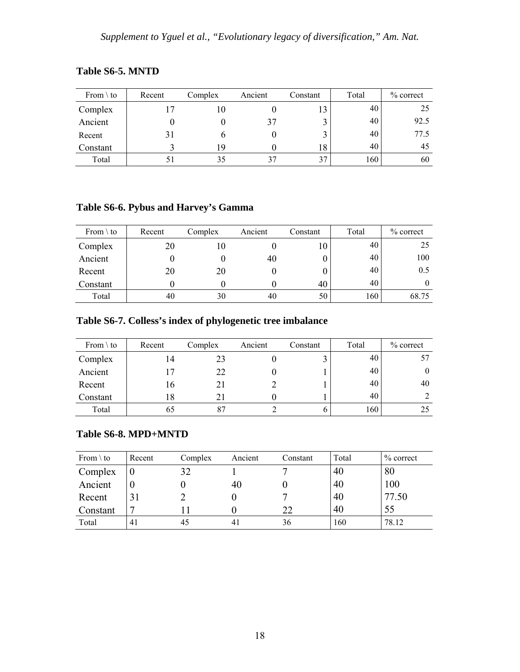| From $\setminus$ to | Recent | Complex | Ancient | Constant | Total | $%$ correct |
|---------------------|--------|---------|---------|----------|-------|-------------|
| Complex             |        | 10      |         | 13       | 40    | 25          |
| Ancient             |        |         | 37      | 2        | 40    | 92.5        |
| Recent              |        |         |         | 3        | 40    | 77.5        |
| Constant            |        | 19      |         | 18       | 40    | 45          |
| Total               |        | 35      |         | 37       | 160   | 60          |

### **Table S6-5. MNTD**

### **Table S6-6. Pybus and Harvey's Gamma**

| From $\setminus$ to | Recent | Complex | Ancient | Constant | Total | $\%$ correct |
|---------------------|--------|---------|---------|----------|-------|--------------|
| Complex             | 20     | 10      |         | 10       | 40    | 25           |
| Ancient             |        |         | 40      | 0        | 40    | 100          |
| Recent              | 20     | 20      |         | 0        | 40    | 0.5          |
| Constant            |        |         |         | 40       | 40    |              |
| Total               | 40     | 30      | 40      | 50       | 160   | 68.75        |

### **Table S6-7. Colless's index of phylogenetic tree imbalance**

| From $\setminus$ to | Recent | Complex | Ancient | Constant | Total | $\%$ correct |
|---------------------|--------|---------|---------|----------|-------|--------------|
| Complex             | 14     | 23      |         |          | 40    |              |
| Ancient             |        | 22      |         |          | 40    |              |
| Recent              | 16     | 21      |         |          | 40    | 40           |
| Constant            | 18     | 21      |         |          | 40    |              |
| Total               | 65     | 87      |         | O        | 160   | 25           |

### **Table S6-8. MPD+MNTD**

| From $\setminus$ to | Recent | Complex | Ancient | Constant | Total | $%$ correct |
|---------------------|--------|---------|---------|----------|-------|-------------|
| Complex             |        | 32      |         |          | 40    | 80          |
| Ancient             |        |         | 40      |          | 40    | 100         |
| Recent              |        |         |         |          | 40    | 77.50       |
| Constant            |        |         |         | 22       | 40    | 55          |
| Total               | 41     | 45      |         | 36       | 160   | 78.12       |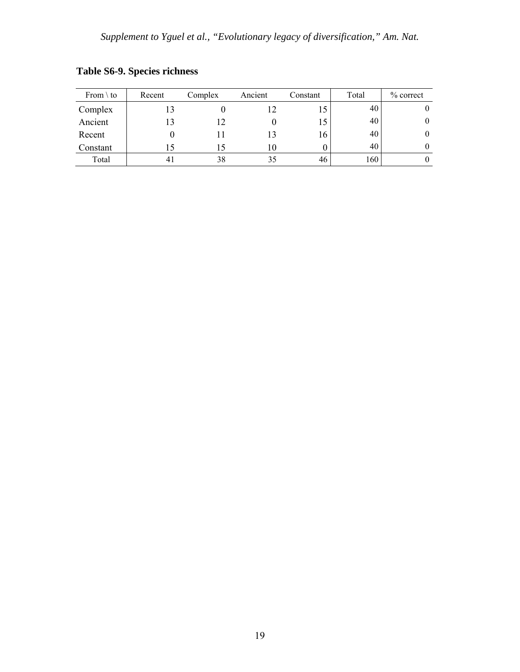| From $\setminus$ to | Recent | Complex | Ancient | Constant | Total | $%$ correct |
|---------------------|--------|---------|---------|----------|-------|-------------|
| Complex             |        |         |         | 15       | 40    |             |
| Ancient             |        | 12      |         | 15       | 40    | $\theta$    |
| Recent              | O      |         |         | 16       | 40    | $\theta$    |
| Constant            |        | 15      |         | 0        | 40    |             |
| Total               |        | 38      | 35      | 46       | 160   |             |
|                     |        |         |         |          |       |             |

# **Table S6-9. Species richness**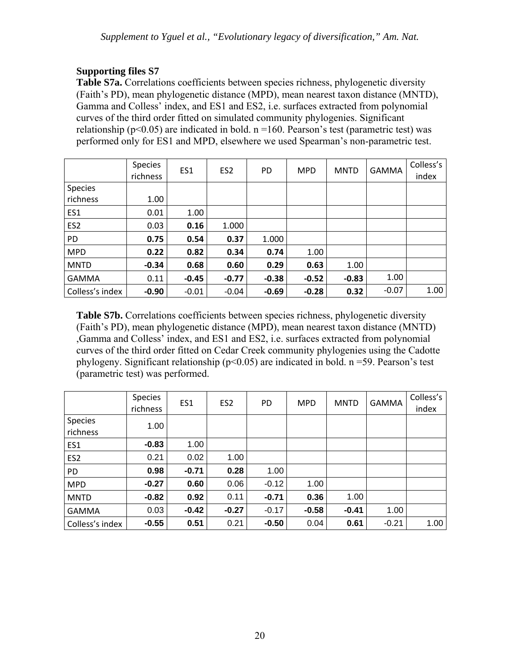### **Supporting files S7**

**Table S7a.** Correlations coefficients between species richness, phylogenetic diversity (Faith's PD), mean phylogenetic distance (MPD), mean nearest taxon distance (MNTD), Gamma and Colless' index, and ES1 and ES2, i.e. surfaces extracted from polynomial curves of the third order fitted on simulated community phylogenies. Significant relationship ( $p<0.05$ ) are indicated in bold. n =160. Pearson's test (parametric test) was performed only for ES1 and MPD, elsewhere we used Spearman's non-parametric test.

|                 | <b>Species</b><br>richness | ES1     | ES <sub>2</sub> | <b>PD</b> | <b>MPD</b> | <b>MNTD</b> | <b>GAMMA</b> | Colless's<br>index |
|-----------------|----------------------------|---------|-----------------|-----------|------------|-------------|--------------|--------------------|
| Species         |                            |         |                 |           |            |             |              |                    |
| richness        | 1.00                       |         |                 |           |            |             |              |                    |
| ES1             | 0.01                       | 1.00    |                 |           |            |             |              |                    |
| ES <sub>2</sub> | 0.03                       | 0.16    | 1.000           |           |            |             |              |                    |
| PD              | 0.75                       | 0.54    | 0.37            | 1.000     |            |             |              |                    |
| <b>MPD</b>      | 0.22                       | 0.82    | 0.34            | 0.74      | 1.00       |             |              |                    |
| <b>MNTD</b>     | $-0.34$                    | 0.68    | 0.60            | 0.29      | 0.63       | 1.00        |              |                    |
| <b>GAMMA</b>    | 0.11                       | $-0.45$ | $-0.77$         | $-0.38$   | $-0.52$    | $-0.83$     | 1.00         |                    |
| Colless's index | $-0.90$                    | $-0.01$ | $-0.04$         | $-0.69$   | $-0.28$    | 0.32        | $-0.07$      | 1.00               |

**Table S7b.** Correlations coefficients between species richness, phylogenetic diversity (Faith's PD), mean phylogenetic distance (MPD), mean nearest taxon distance (MNTD) ,Gamma and Colless' index, and ES1 and ES2, i.e. surfaces extracted from polynomial curves of the third order fitted on Cedar Creek community phylogenies using the Cadotte phylogeny. Significant relationship ( $p<0.05$ ) are indicated in bold. n =59. Pearson's test (parametric test) was performed.

|                     | <b>Species</b><br>richness | ES1     | ES <sub>2</sub> | PD.     | <b>MPD</b> | <b>MNTD</b> | <b>GAMMA</b> | Colless's<br>index |
|---------------------|----------------------------|---------|-----------------|---------|------------|-------------|--------------|--------------------|
| Species<br>richness | 1.00                       |         |                 |         |            |             |              |                    |
| ES1                 | $-0.83$                    | 1.00    |                 |         |            |             |              |                    |
| ES <sub>2</sub>     | 0.21                       | 0.02    | 1.00            |         |            |             |              |                    |
| PD                  | 0.98                       | $-0.71$ | 0.28            | 1.00    |            |             |              |                    |
| <b>MPD</b>          | $-0.27$                    | 0.60    | 0.06            | $-0.12$ | 1.00       |             |              |                    |
| <b>MNTD</b>         | $-0.82$                    | 0.92    | 0.11            | $-0.71$ | 0.36       | 1.00        |              |                    |
| <b>GAMMA</b>        | 0.03                       | $-0.42$ | $-0.27$         | $-0.17$ | $-0.58$    | $-0.41$     | 1.00         |                    |
| Colless's index     | $-0.55$                    | 0.51    | 0.21            | $-0.50$ | 0.04       | 0.61        | $-0.21$      | 1.00               |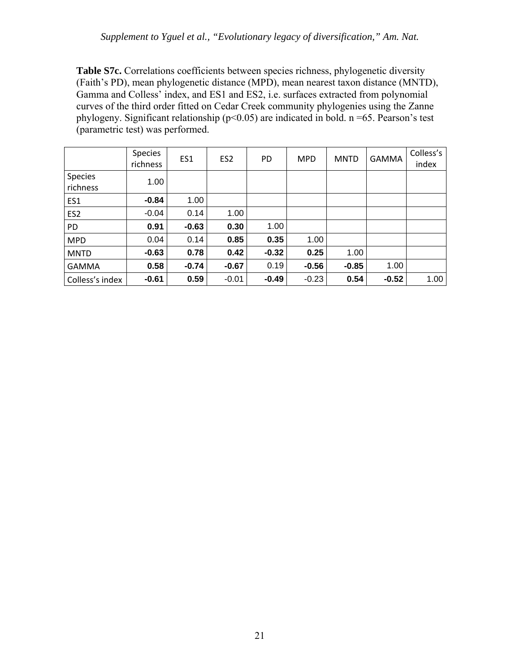**Table S7c.** Correlations coefficients between species richness, phylogenetic diversity (Faith's PD), mean phylogenetic distance (MPD), mean nearest taxon distance (MNTD), Gamma and Colless' index, and ES1 and ES2, i.e. surfaces extracted from polynomial curves of the third order fitted on Cedar Creek community phylogenies using the Zanne phylogeny. Significant relationship ( $p<0.05$ ) are indicated in bold. n =65. Pearson's test (parametric test) was performed.

|                            | <b>Species</b><br>richness | ES1     | ES <sub>2</sub> | PD.     | <b>MPD</b> | <b>MNTD</b> | <b>GAMMA</b> | Colless's<br>index |
|----------------------------|----------------------------|---------|-----------------|---------|------------|-------------|--------------|--------------------|
| <b>Species</b><br>richness | 1.00                       |         |                 |         |            |             |              |                    |
| ES1                        | $-0.84$                    | 1.00    |                 |         |            |             |              |                    |
| ES <sub>2</sub>            | $-0.04$                    | 0.14    | 1.00            |         |            |             |              |                    |
| PD                         | 0.91                       | $-0.63$ | 0.30            | 1.00    |            |             |              |                    |
| <b>MPD</b>                 | 0.04                       | 0.14    | 0.85            | 0.35    | 1.00       |             |              |                    |
| <b>MNTD</b>                | $-0.63$                    | 0.78    | 0.42            | $-0.32$ | 0.25       | 1.00        |              |                    |
| <b>GAMMA</b>               | 0.58                       | $-0.74$ | $-0.67$         | 0.19    | $-0.56$    | $-0.85$     | 1.00         |                    |
| Colless's index            | $-0.61$                    | 0.59    | $-0.01$         | $-0.49$ | $-0.23$    | 0.54        | $-0.52$      | 1.00               |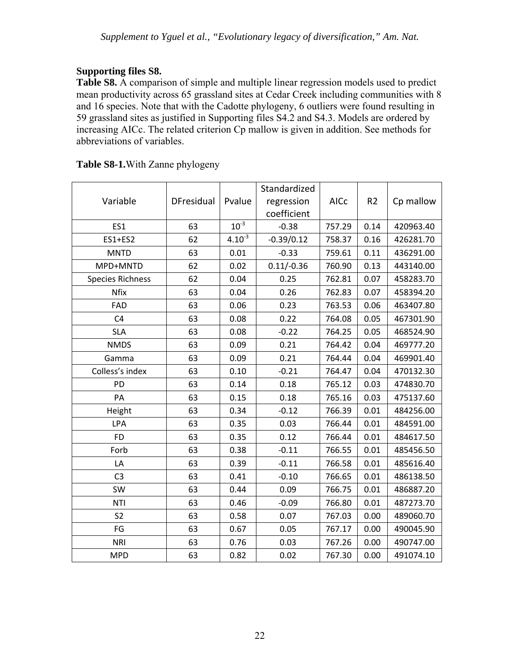### **Supporting files S8.**

**Table S8.** A comparison of simple and multiple linear regression models used to predict mean productivity across 65 grassland sites at Cedar Creek including communities with 8 and 16 species. Note that with the Cadotte phylogeny, 6 outliers were found resulting in 59 grassland sites as justified in Supporting files S4.2 and S4.3. Models are ordered by increasing AICc. The related criterion Cp mallow is given in addition. See methods for abbreviations of variables.

|                         |                   |             | Standardized |             |                |           |  |
|-------------------------|-------------------|-------------|--------------|-------------|----------------|-----------|--|
| Variable                | <b>DFresidual</b> | Pvalue      | regression   | <b>AICc</b> | R <sub>2</sub> | Cp mallow |  |
|                         |                   |             | coefficient  |             |                |           |  |
| ES1                     | 63                | $10^{-3}$   | $-0.38$      | 757.29      | 0.14           | 420963.40 |  |
| ES1+ES2                 | 62                | $4.10^{-3}$ | $-0.39/0.12$ | 758.37      | 0.16           | 426281.70 |  |
| <b>MNTD</b>             | 63                | 0.01        | $-0.33$      | 759.61      | 0.11           | 436291.00 |  |
| MPD+MNTD                | 62                | 0.02        | $0.11/-0.36$ | 760.90      | 0.13           | 443140.00 |  |
| <b>Species Richness</b> | 62                | 0.04        | 0.25         | 762.81      | 0.07           | 458283.70 |  |
| Nfix                    | 63                | 0.04        | 0.26         | 762.83      | 0.07           | 458394.20 |  |
| FAD                     | 63                | 0.06        | 0.23         | 763.53      | 0.06           | 463407.80 |  |
| C <sub>4</sub>          | 63                | 0.08        | 0.22         | 764.08      | 0.05           | 467301.90 |  |
| <b>SLA</b>              | 63                | 0.08        | $-0.22$      | 764.25      | 0.05           | 468524.90 |  |
| <b>NMDS</b>             | 63                | 0.09        | 0.21         | 764.42      | 0.04           | 469777.20 |  |
| Gamma                   | 63                | 0.09        | 0.21         | 764.44      | 0.04           | 469901.40 |  |
| Colless's index         | 63                | 0.10        | $-0.21$      | 764.47      | 0.04           | 470132.30 |  |
| PD                      | 63                | 0.14        | 0.18         | 765.12      | 0.03           | 474830.70 |  |
| PA                      | 63                | 0.15        | 0.18         | 765.16      | 0.03           | 475137.60 |  |
| Height                  | 63                | 0.34        | $-0.12$      | 766.39      | 0.01           | 484256.00 |  |
| LPA                     | 63                | 0.35        | 0.03         | 766.44      | 0.01           | 484591.00 |  |
| <b>FD</b>               | 63                | 0.35        | 0.12         | 766.44      | 0.01           | 484617.50 |  |
| Forb                    | 63                | 0.38        | $-0.11$      | 766.55      | 0.01           | 485456.50 |  |
| LA                      | 63                | 0.39        | $-0.11$      | 766.58      | 0.01           | 485616.40 |  |
| C <sub>3</sub>          | 63                | 0.41        | $-0.10$      | 766.65      | 0.01           | 486138.50 |  |
| SW                      | 63                | 0.44        | 0.09         | 766.75      | 0.01           | 486887.20 |  |
| <b>NTI</b>              | 63                | 0.46        | $-0.09$      | 766.80      | 0.01           | 487273.70 |  |
| S <sub>2</sub>          | 63                | 0.58        | 0.07         | 767.03      | 0.00           | 489060.70 |  |
| FG                      | 63                | 0.67        | 0.05         | 767.17      | 0.00           | 490045.90 |  |
| <b>NRI</b>              | 63                | 0.76        | 0.03         | 767.26      | 0.00           | 490747.00 |  |
| <b>MPD</b>              | 63                | 0.82        | 0.02         | 767.30      | 0.00           | 491074.10 |  |

**Table S8-1.**With Zanne phylogeny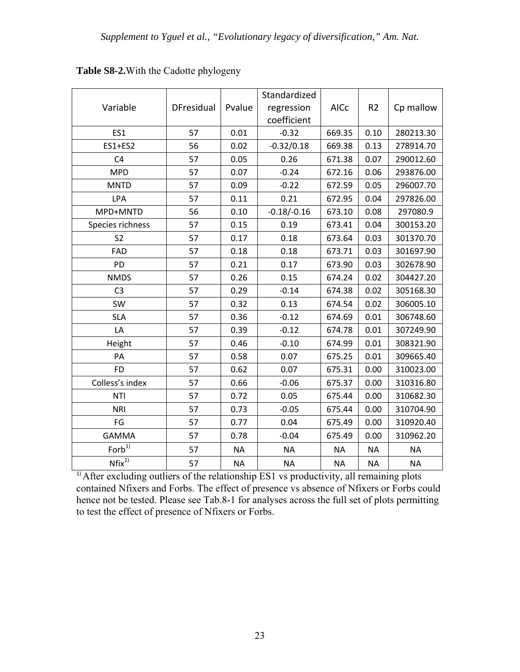|                   |                   |           | Standardized  |             |                |           |
|-------------------|-------------------|-----------|---------------|-------------|----------------|-----------|
| Variable          | <b>DFresidual</b> | Pvalue    | regression    | <b>AICc</b> | R <sub>2</sub> | Cp mallow |
|                   |                   |           | coefficient   |             |                |           |
| ES1               | 57                | 0.01      | $-0.32$       | 669.35      | 0.10           | 280213.30 |
| ES1+ES2           | 56                | 0.02      | $-0.32/0.18$  | 669.38      | 0.13           | 278914.70 |
| C <sub>4</sub>    | 57                | 0.05      | 0.26          | 671.38      | 0.07           | 290012.60 |
| <b>MPD</b>        | 57                | 0.07      | $-0.24$       | 672.16      | 0.06           | 293876.00 |
| <b>MNTD</b>       | 57                | 0.09      | $-0.22$       | 672.59      | 0.05           | 296007.70 |
| LPA               | 57                | 0.11      | 0.21          | 672.95      | 0.04           | 297826.00 |
| MPD+MNTD          | 56                | 0.10      | $-0.18/-0.16$ | 673.10      | 0.08           | 297080.9  |
| Species richness  | 57                | 0.15      | 0.19          | 673.41      | 0.04           | 300153.20 |
| S <sub>2</sub>    | 57                | 0.17      | 0.18          | 673.64      | 0.03           | 301370.70 |
| FAD               | 57                | 0.18      | 0.18          | 673.71      | 0.03           | 301697.90 |
| PD                | 57                | 0.21      | 0.17          | 673.90      | 0.03           | 302678.90 |
| <b>NMDS</b>       | 57                | 0.26      | 0.15          | 674.24      | 0.02           | 304427.20 |
| C <sub>3</sub>    | 57                | 0.29      | $-0.14$       | 674.38      | 0.02           | 305168.30 |
| SW                | 57                | 0.32      | 0.13          | 674.54      | 0.02           | 306005.10 |
| <b>SLA</b>        | 57                | 0.36      | $-0.12$       | 674.69      | 0.01           | 306748.60 |
| LA                | 57                | 0.39      | $-0.12$       | 674.78      | 0.01           | 307249.90 |
| Height            | 57                | 0.46      | $-0.10$       | 674.99      | 0.01           | 308321.90 |
| PA                | 57                | 0.58      | 0.07          | 675.25      | 0.01           | 309665.40 |
| <b>FD</b>         | 57                | 0.62      | 0.07          | 675.31      | 0.00           | 310023.00 |
| Colless's index   | 57                | 0.66      | $-0.06$       | 675.37      | 0.00           | 310316.80 |
| <b>NTI</b>        | 57                | 0.72      | 0.05          | 675.44      | 0.00           | 310682.30 |
| <b>NRI</b>        | 57                | 0.73      | $-0.05$       | 675.44      | 0.00           | 310704.90 |
| FG                | 57                | 0.77      | 0.04          | 675.49      | 0.00           | 310920.40 |
| <b>GAMMA</b>      | 57                | 0.78      | $-0.04$       | 675.49      | 0.00           | 310962.20 |
| Forb <sup>1</sup> | 57                | <b>NA</b> | <b>NA</b>     | <b>NA</b>   | <b>NA</b>      | <b>NA</b> |
| $N$ fix $^{1)}$   | 57                | <b>NA</b> | <b>NA</b>     | <b>NA</b>   | <b>NA</b>      | <b>NA</b> |

**Table S8-2.**With the Cadotte phylogeny

 $<sup>1</sup>$  After excluding outliers of the relationship ES1 vs productivity, all remaining plots</sup> contained Nfixers and Forbs. The effect of presence vs absence of Nfixers or Forbs could hence not be tested. Please see Tab.8-1 for analyses across the full set of plots permitting to test the effect of presence of Nfixers or Forbs.